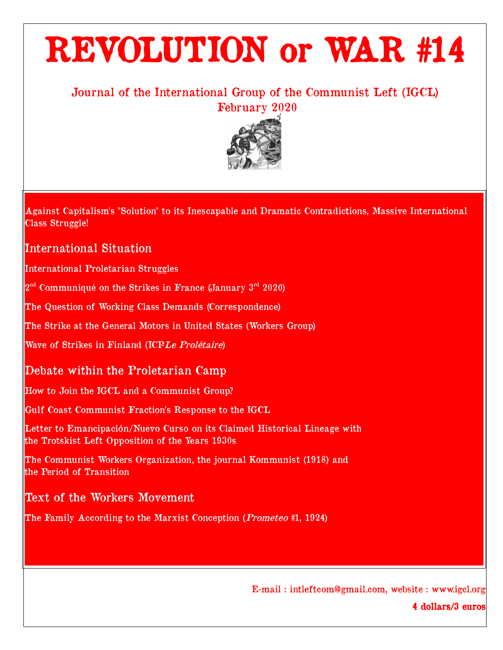# REVOLUTION or WAR #14

# Journal of the International Group of the Communist Left (IGCL) February 2020



Against Capitalism's "Solution" to its Inescapable and Dramatic Contradictions, Massive International Class Struggle!

# International Situation

International Proletarian Struggles

 $2<sup>nd</sup>$  Communiqué on the Strikes in France (January  $3<sup>rd</sup>$  2020)

The Question of Working Class Demands (Correspondence)

The Strike at the General Motors in United States (Workers Group)

Wave of Strikes in Finland (ICPLe Prolétaire)

# Debate within the Proletarian Camp

How to Join the IGCL and a Communist Group?

Gulf Coast Communist Fraction's Response to the IGCL

Letter to Emancipación/Nuevo Curso on its Claimed Historical Lineage with the Trotskist Left Opposition of the Years 1930s

The Communist Workers Organization, the journal Kommunist (1918) and the Period of Transition

# Text of the Workers Movement

The Family According to the Marxist Conception (*Prometeo* #1, 1924)

E-mail : intleftcom@gmail.com, website : www.igcl.org

4 dollars/3 euros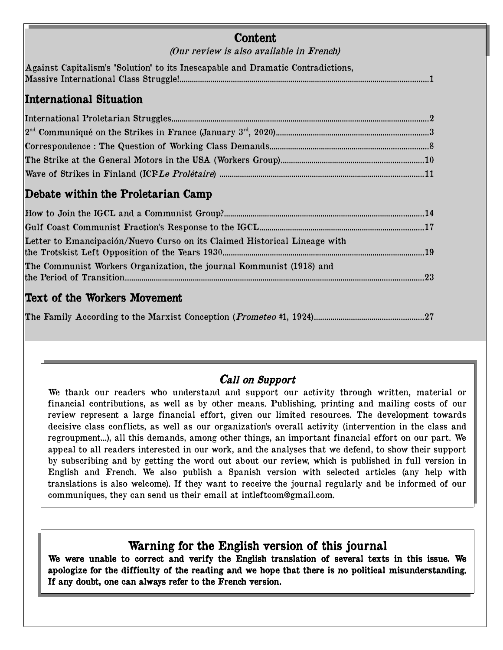| Content<br>(Our review is also available in French)                             |  |
|---------------------------------------------------------------------------------|--|
| Against Capitalism's "Solution" to its Inescapable and Dramatic Contradictions, |  |
| <b>International Situation</b>                                                  |  |
|                                                                                 |  |
|                                                                                 |  |
|                                                                                 |  |
|                                                                                 |  |
|                                                                                 |  |
| Debate within the Proletarian Camp                                              |  |
|                                                                                 |  |
|                                                                                 |  |
| Letter to Emancipación/Nuevo Curso on its Claimed Historical Lineage with       |  |
|                                                                                 |  |
| The Communist Workers Organization, the journal Kommunist (1918) and            |  |
|                                                                                 |  |
| <b>Text of the Workers Movement</b>                                             |  |

The Family According to the Marxist Conception (Prometeo #1, 1924).....................................................27

# Call on Support

We thank our readers who understand and support our activity through written, material or financial contributions, as well as by other means. Publishing, printing and mailing costs of our review represent a large financial effort, given our limited resources. The development towards decisive class conflicts, as well as our organization's overall activity (intervention in the class and regroupment...), all this demands, among other things, an important financial effort on our part. We appeal to all readers interested in our work, and the analyses that we defend, to show their support by subscribing and by getting the word out about our review, which is published in full version in English and French. We also publish a Spanish version with selected articles (any help with translations is also welcome). If they want to receive the journal regularly and be informed of our communiques, they can send us their email at [intleftcom@gmail.com.](mailto:intleftcom@gmail.com)

# Warning for the English version of this journal

We were unable to correct and verify the English translation of several texts in this issue. We apologize for the difficulty of the reading and we hope that there is no political misunderstanding. If any doubt, one can always refer to the French version.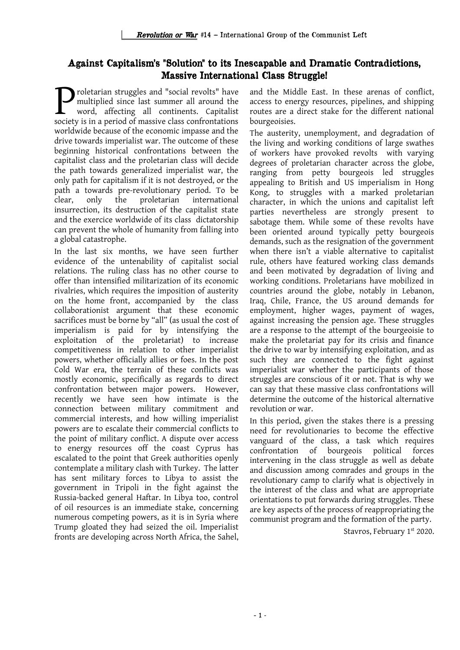## Against Capitalism's "Solution" to its Inescapable and Dramatic Contradictions, Massive International Class Struggle!

roletarian struggles and "social revolts" have multiplied since last summer all around the word, affecting all continents. Capitalist **Social revolts"** have multiplied since last summer all around the word, affecting all continents. Capitalist society is in a period of massive class confrontations worldwide because of the economic impasse and the drive towards imperialist war. The outcome of these beginning historical confrontations between the capitalist class and the proletarian class will decide the path towards generalized imperialist war, the only path for capitalism if it is not destroyed, or the path a towards pre-revolutionary period. To be clear, only the proletarian international insurrection, its destruction of the capitalist state and the exercice worldwide of its class dictatorship can prevent the whole of humanity from falling into a global catastrophe.

In the last six months, we have seen further evidence of the untenability of capitalist social relations. The ruling class has no other course to offer than intensified militarization of its economic rivalries, which requires the imposition of austerity on the home front, accompanied by the class collaborationist argument that these economic sacrifices must be borne by "all" (as usual the cost of imperialism is paid for by intensifying the exploitation of the proletariat) to increase competitiveness in relation to other imperialist powers, whether officially allies or foes. In the post Cold War era, the terrain of these conflicts was mostly economic, specifically as regards to direct confrontation between major powers. However, recently we have seen how intimate is the connection between military commitment and commercial interests, and how willing imperialist powers are to escalate their commercial conflicts to the point of military conflict. A dispute over access to energy resources off the coast Cyprus has escalated to the point that Greek authorities openly contemplate a military clash with Turkey. The latter has sent military forces to Libya to assist the government in Tripoli in the fight against the Russia-backed general Haftar. In Libya too, control of oil resources is an immediate stake, concerning numerous competing powers, as it is in Syria where Trump gloated they had seized the oil. Imperialist fronts are developing across North Africa, the Sahel,

and the Middle East. In these arenas of conflict, access to energy resources, pipelines, and shipping routes are a direct stake for the different national bourgeoisies.

The austerity, unemployment, and degradation of the living and working conditions of large swathes of workers have provoked revolts with varying degrees of proletarian character across the globe, ranging from petty bourgeois led struggles appealing to British and US imperialism in Hong Kong, to struggles with a marked proletarian character, in which the unions and capitalist left parties nevertheless are strongly present to sabotage them. While some of these revolts have been oriented around typically petty bourgeois demands, such as the resignation of the government when there isn't a viable alternative to capitalist rule, others have featured working class demands and been motivated by degradation of living and working conditions. Proletarians have mobilized in countries around the globe, notably in Lebanon, Iraq, Chile, France, the US around demands for employment, higher wages, payment of wages, against increasing the pension age. These struggles are a response to the attempt of the bourgeoisie to make the proletariat pay for its crisis and finance the drive to war by intensifying exploitation, and as such they are connected to the fight against imperialist war whether the participants of those struggles are conscious of it or not. That is why we can say that these massive class confrontations will determine the outcome of the historical alternative revolution or war.

In this period, given the stakes there is a pressing need for revolutionaries to become the effective vanguard of the class, a task which requires confrontation of bourgeois political forces intervening in the class struggle as well as debate and discussion among comrades and groups in the revolutionary camp to clarify what is objectively in the interest of the class and what are appropriate orientations to put forwards during struggles. These are key aspects of the process of reappropriating the communist program and the formation of the party.

Stavros, February 1<sup>st</sup> 2020.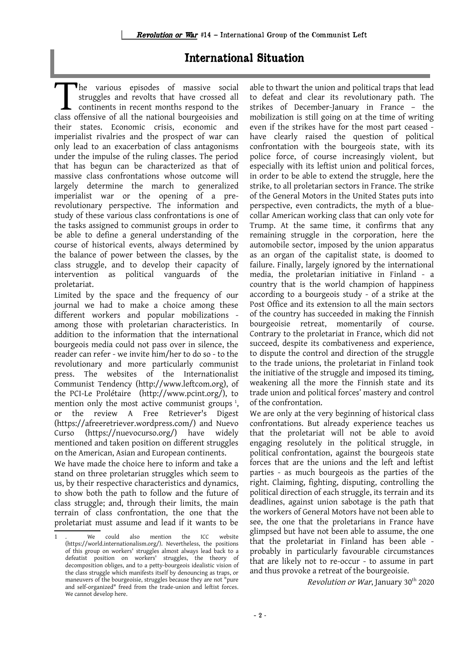# International Situation

he various episodes of massive social struggles and revolts that have crossed all continents in recent months respond to the The various episodes of massive social struggles and revolts that have crossed all continents in recent months respond to the class offensive of all the national bourgeoisies and their states. Economic crisis, economic and imperialist rivalries and the prospect of war can only lead to an exacerbation of class antagonisms under the impulse of the ruling classes. The period that has begun can be characterized as that of massive class confrontations whose outcome will largely determine the march to generalized imperialist war or the opening of a prerevolutionary perspective. The information and study of these various class confrontations is one of the tasks assigned to communist groups in order to be able to define a general understanding of the course of historical events, always determined by the balance of power between the classes, by the class struggle, and to develop their capacity of intervention as political vanguards of the proletariat.

Limited by the space and the frequency of our journal we had to make a choice among these different workers and popular mobilizations among those with proletarian characteristics. In addition to the information that the international bourgeois media could not pass over in silence, the reader can refer - we invite him/her to do so - to the revolutionary and more particularly communist press. The websites of the Internationalist Communist Tendency (http://www.leftcom.org), of the PCI-Le Prolétaire (http://www.pcint.org/), to mention only the most active communist groups<sup>[1](#page-3-0)</sup>, or the review A Free Retriever's Digest (https://afreeretriever.wordpress.com/) and Nuevo Curso (https://nuevocurso.org/) have widely mentioned and taken position on different struggles on the American, Asian and European continents.

We have made the choice here to inform and take a stand on three proletarian struggles which seem to us, by their respective characteristics and dynamics, to show both the path to follow and the future of class struggle; and, through their limits, the main terrain of class confrontation, the one that the proletariat must assume and lead if it wants to be

able to thwart the union and political traps that lead to defeat and clear its revolutionary path. The strikes of December-January in France – the mobilization is still going on at the time of writing even if the strikes have for the most part ceased have clearly raised the question of political confrontation with the bourgeois state, with its police force, of course increasingly violent, but especially with its leftist union and political forces, in order to be able to extend the struggle, here the strike, to all proletarian sectors in France. The strike of the General Motors in the United States puts into perspective, even contradicts, the myth of a bluecollar American working class that can only vote for Trump. At the same time, it confirms that any remaining struggle in the corporation, here the automobile sector, imposed by the union apparatus as an organ of the capitalist state, is doomed to failure. Finally, largely ignored by the international media, the proletarian initiative in Finland - a country that is the world champion of happiness according to a bourgeois study - of a strike at the Post Office and its extension to all the main sectors of the country has succeeded in making the Finnish bourgeoisie retreat, momentarily of course. Contrary to the proletariat in France, which did not succeed, despite its combativeness and experience, to dispute the control and direction of the struggle to the trade unions, the proletariat in Finland took the initiative of the struggle and imposed its timing, weakening all the more the Finnish state and its trade union and political forces' mastery and control of the confrontation.

We are only at the very beginning of historical class confrontations. But already experience teaches us that the proletariat will not be able to avoid engaging resolutely in the political struggle, in political confrontation, against the bourgeois state forces that are the unions and the left and leftist parties - as much bourgeois as the parties of the right. Claiming, fighting, disputing, controlling the political direction of each struggle, its terrain and its deadlines, against union sabotage is the path that the workers of General Motors have not been able to see, the one that the proletarians in France have glimpsed but have not been able to assume, the one that the proletariat in Finland has been able probably in particularly favourable circumstances that are likely not to re-occur - to assume in part and thus provoke a retreat of the bourgeoisie.

*Revolution or War*, January  $30<sup>th</sup>$  2020

<span id="page-3-0"></span>We could also mention the ICC website (https://world.internationalism.org/). Nevertheless, the positions of this group on workers' struggles almost always lead back to a defeatist position on workers' struggles, the theory of decomposition obliges, and to a petty-bourgeois idealistic vision of the class struggle which manifests itself by denouncing as traps, or maneuvers of the bourgeoisie, struggles because they are not "pure and self-organized" freed from the trade-union and leftist forces. We cannot develop here.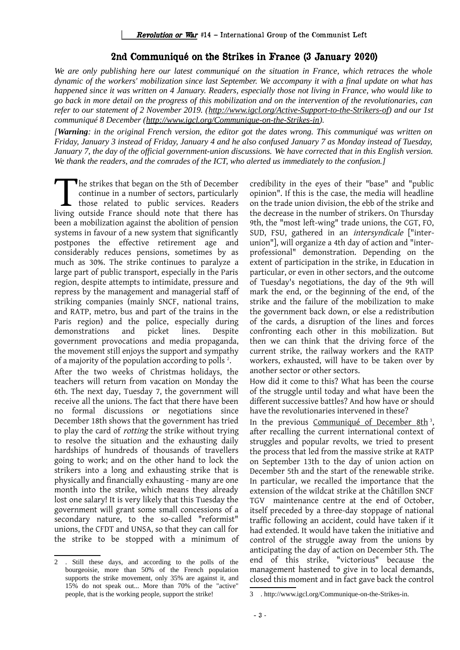#### 2nd Communiqué on the Strikes in France (3 January 2020)

*We are only publishing here our latest communiqué on the situation in France, which retraces the whole dynamic of the workers' mobilization since last September. We accompany it with a final update on what has happened since it was written on 4 January. Readers, especially those not living in France, who would like to go back in more detail on the progress of this mobilization and on the intervention of the revolutionaries, can refer to our statement of 2 November 2019. [\(http://www.igcl.org/Active-Support-to-the-Strikers-of\)](http://www.igcl.org/Active-Support-to-the-Strikers-of) and our 1st communiqué 8 December [\(http://www.igcl.org/Communique-on-the-Strikes-in\)](http://www.igcl.org/Communique-on-the-Strikes-in).*

*[Warning: in the original French version, the editor got the dates wrong. This communiqué was written on Friday, January 3 instead of Friday, January 4 and he also confused January 7 as Monday instead of Tuesday, January 7, the day of the official government-union discussions. We have corrected that in this English version. We thank the readers, and the comrades of the ICT, who alerted us immediately to the confusion.]*

The strikes that began on the 5th of December continue in a number of sectors, particularly those related to public services. Readers The strikes that began on the 5th of December<br>
continue in a number of sectors, particularly<br>
those related to public services. Readers<br>
living outside France should note that there has been a mobilization against the abolition of pension systems in favour of a new system that significantly postpones the effective retirement age and considerably reduces pensions, sometimes by as much as 30%. The strike continues to paralyze a large part of public transport, especially in the Paris region, despite attempts to intimidate, pressure and repress by the management and managerial staff of striking companies (mainly SNCF, national trains, and RATP, metro, bus and part of the trains in the Paris region) and the police, especially during demonstrations and picket lines. Despite government provocations and media propaganda, the movement still enjoys the support and sympathy of a majority of the population according to polls  $^2$  $^2$ . After the two weeks of Christmas holidays, the teachers will return from vacation on Monday the 6th. The next day, Tuesday 7, the government will receive all the unions. The fact that there have been no formal discussions or negotiations since December 18th shows that the government has tried to play the card of rotting the strike without trying to resolve the situation and the exhausting daily hardships of hundreds of thousands of travellers going to work; and on the other hand to lock the strikers into a long and exhausting strike that is physically and financially exhausting - many are one month into the strike, which means they already lost one salary! It is very likely that this Tuesday the government will grant some small concessions of a secondary nature, to the so-called "reformist" unions, the CFDT and UNSA, so that they can call for the strike to be stopped with a minimum of

credibility in the eyes of their "base" and "public opinion". If this is the case, the media will headline on the trade union division, the ebb of the strike and the decrease in the number of strikers. On Thursday 9th, the "most left-wing" trade unions, the CGT, FO, SUD, FSU, gathered in an intersyndicale ["interunion"], will organize a 4th day of action and "interprofessional" demonstration. Depending on the extent of participation in the strike, in Education in particular, or even in other sectors, and the outcome of Tuesday's negotiations, the day of the 9th will mark the end, or the beginning of the end, of the strike and the failure of the mobilization to make the government back down, or else a redistribution of the cards, a disruption of the lines and forces confronting each other in this mobilization. But then we can think that the driving force of the current strike, the railway workers and the RATP workers, exhausted, will have to be taken over by another sector or other sectors.

How did it come to this? What has been the course of the struggle until today and what have been the different successive battles? And how have or should have the revolutionaries intervened in these?

In the previous [Communiqué of December 8th](http://www.igcl.org/Communique-on-the-Strikes-in)<sup>[3](#page-4-1)</sup>, after recalling the current international context of struggles and popular revolts, we tried to present the process that led from the massive strike at RATP on September 13th to the day of union action on December 5th and the start of the renewable strike. In particular, we recalled the importance that the extension of the wildcat strike at the Châtillon SNCF TGV maintenance centre at the end of October, itself preceded by a three-day stoppage of national traffic following an accident, could have taken if it had extended. It would have taken the initiative and control of the struggle away from the unions by anticipating the day of action on December 5th. The end of this strike, "victorious" because the management hastened to give in to local demands, closed this moment and in fact gave back the control

<span id="page-4-0"></span><sup>2</sup> . Still these days, and according to the polls of the bourgeoisie, more than 50% of the French population supports the strike movement, only 35% are against it, and 15% do not speak out... More than 70% of the "active" people, that is the working people, support the strike!

<span id="page-4-1"></span><sup>3</sup> . http://www.igcl.org/Communique-on-the-Strikes-in.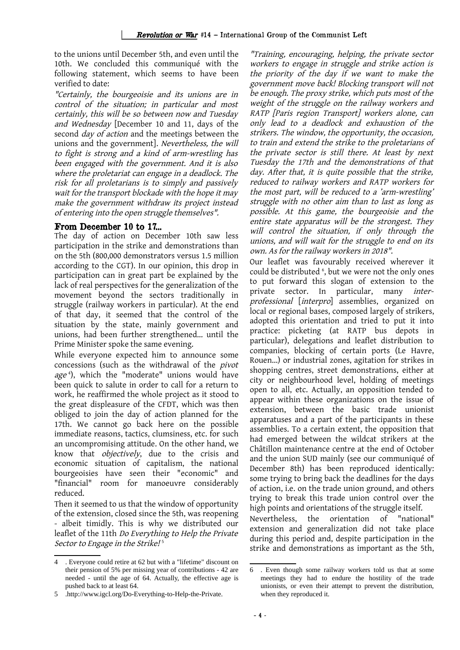to the unions until December 5th, and even until the 10th. We concluded this communiqué with the following statement, which seems to have been verified to date:

"Certainly, the bourgeoisie and its unions are in control of the situation; in particular and most certainly, this will be so between now and Tuesday and Wednesday [December 10 and 11, days of the second *day of action* and the meetings between the unions and the government]. Nevertheless, the will to fight is strong and a kind of arm-wrestling has been engaged with the government. And it is also where the proletariat can engage in a deadlock. The risk for all proletarians is to simply and passively wait for the transport blockade with the hope it may make the government withdraw its project instead of entering into the open struggle themselves".

#### From December 10 to 17...

The day of action on December 10th saw less participation in the strike and demonstrations than on the 5th (800,000 demonstrators versus 1.5 million according to the CGT). In our opinion, this drop in participation can in great part be explained by the lack of real perspectives for the generalization of the movement beyond the sectors traditionally in struggle (railway workers in particular). At the end of that day, it seemed that the control of the situation by the state, mainly government and unions, had been further strengthened... until the Prime Minister spoke the same evening.

While everyone expected him to announce some concessions (such as the withdrawal of the pivot *age* <sup>[4](#page-5-0)</sup>), which the "moderate" unions would have been quick to salute in order to call for a return to work, he reaffirmed the whole project as it stood to the great displeasure of the CFDT, which was then obliged to join the day of action planned for the 17th. We cannot go back here on the possible immediate reasons, tactics, clumsiness, etc. for such an uncompromising attitude. On the other hand, we know that objectively, due to the crisis and economic situation of capitalism, the national bourgeoisies have seen their "economic" and "financial" room for manoeuvre considerably reduced.

Then it seemed to us that the window of opportunity of the extension, closed since the 5th, was reopening - albeit timidly. This is why we distributed our leaflet of the 11th Do Everything to Help the Private Sector to Engage in the Strike!<sup>[5](#page-5-1)</sup>

"Training, encouraging, helping, the private sector workers to engage in struggle and strike action is the priority of the day if we want to make the government move back! Blocking transport will not be enough. The proxy strike, which puts most of the weight of the struggle on the railway workers and RATP [Paris region Transport] workers alone, can only lead to <sup>a</sup> deadlock and exhaustion of the strikers. The window, the opportunity, the occasion, to train and extend the strike to the proletarians of the private sector is still there. At least by next Tuesday the 17th and the demonstrations of that day. After that, it is quite possible that the strike, reduced to railway workers and RATP workers for the most part, will be reduced to a 'arm-wrestling' struggle with no other aim than to last as long as possible. At this game, the bourgeoisie and the entire state apparatus will be the strongest. They will control the situation, if only through the unions, and will wait for the struggle to end on its own. As for the railway workers in 2018".

Our leaflet was favourably received wherever it could be distributed <sup>[6](#page-5-2)</sup>, but we were not the only ones to put forward this slogan of extension to the private sector. In particular, many interprofessional [interpro] assemblies, organized on local or regional bases, composed largely of strikers, adopted this orientation and tried to put it into practice: picketing (at RATP bus depots in particular), delegations and leaflet distribution to companies, blocking of certain ports (Le Havre, Rouen...) or industrial zones, agitation for strikes in shopping centres, street demonstrations, either at city or neighbourhood level, holding of meetings open to all, etc. Actually, an opposition tended to appear within these organizations on the issue of extension, between the basic trade unionist apparatuses and a part of the participants in these assemblies. To a certain extent, the opposition that had emerged between the wildcat strikers at the Châtillon maintenance centre at the end of October and the union SUD mainly (see our communiqué of December 8th) has been reproduced identically: some trying to bring back the deadlines for the days of action, i.e. on the trade union ground, and others trying to break this trade union control over the high points and orientations of the struggle itself. Nevertheless, the orientation of "national"

extension and generalization did not take place during this period and, despite participation in the strike and demonstrations as important as the 5th,

<span id="page-5-0"></span><sup>4</sup> . Everyone could retire at 62 but with a "lifetime" discount on their pension of 5% per missing year of contributions - 42 are needed - until the age of 64. Actually, the effective age is pushed back to at least 64.

<span id="page-5-1"></span><sup>5</sup> .http://www.igcl.org/Do-Everything-to-Help-the-Private.

<span id="page-5-2"></span><sup>6</sup> . Even though some railway workers told us that at some meetings they had to endure the hostility of the trade unionists, or even their attempt to prevent the distribution, when they reproduced it.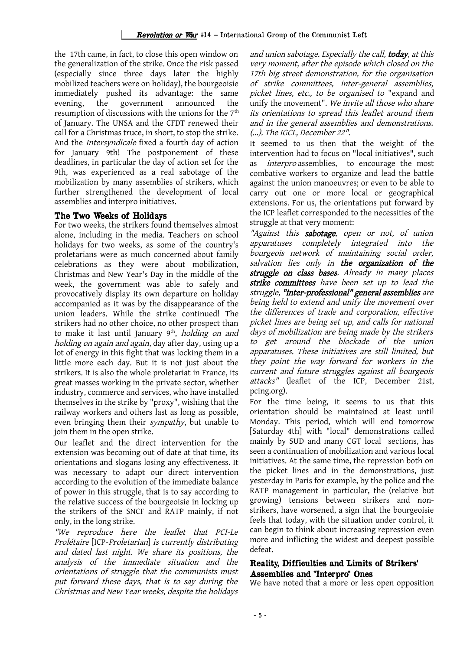the 17th came, in fact, to close this open window on the generalization of the strike. Once the risk passed (especially since three days later the highly mobilized teachers were on holiday), the bourgeoisie immediately pushed its advantage: the same evening, the government announced the resumption of discussions with the unions for the 7<sup>th</sup> of January. The UNSA and the CFDT renewed their call for a Christmas truce, in short, to stop the strike. And the Intersyndicale fixed a fourth day of action for January 9th! The postponement of these deadlines, in particular the day of action set for the 9th, was experienced as a real sabotage of the mobilization by many assemblies of strikers, which further strengthened the development of local assemblies and interpro initiatives.

#### The Two Weeks of Holidays

For two weeks, the strikers found themselves almost alone, including in the media. Teachers on school holidays for two weeks, as some of the country's proletarians were as much concerned about family celebrations as they were about mobilization, Christmas and New Year's Day in the middle of the week, the government was able to safely and provocatively display its own departure on holiday accompanied as it was by the disappearance of the union leaders. While the strike continued! The strikers had no other choice, no other prospect than to make it last until January 9<sup>th</sup>, *holding on and* holding on again and again, day after day, using up a lot of energy in this fight that was locking them in a little more each day. But it is not just about the strikers. It is also the whole proletariat in France, its great masses working in the private sector, whether industry, commerce and services, who have installed themselves in the strike by "proxy", wishing that the railway workers and others last as long as possible, even bringing them their sympathy, but unable to join them in the open strike.

Our leaflet and the direct intervention for the extension was becoming out of date at that time, its orientations and slogans losing any effectiveness. It was necessary to adapt our direct intervention according to the evolution of the immediate balance of power in this struggle, that is to say according to the relative success of the bourgeoisie in locking up the strikers of the SNCF and RATP mainly, if not only, in the long strike.

"We reproduce here the leaflet that PCI-Le Prolétaire [ICP-Proletarian] is currently distributing and dated last night. We share its positions, the analysis of the immediate situation and the orientations of struggle that the communists must put forward these days, that is to say during the Christmas and New Year weeks, despite the holidays

and union sabotage. Especially the call, today, at this very moment, after the episode which closed on the 17th big street demonstration, for the organisation of strike committees, inter-general assemblies, picket lines, etc., to be organised to "expand and unify the movement". We invite all those who share its orientations to spread this leaflet around them and in the general assemblies and demonstrations. (...). The IGCL, December 22".

It seemed to us then that the weight of the intervention had to focus on "local initiatives", such as interpro assemblies, to encourage the most combative workers to organize and lead the battle against the union manoeuvres; or even to be able to carry out one or more local or geographical extensions. For us, the orientations put forward by the ICP leaflet corresponded to the necessities of the struggle at that very moment:

"Against this sabotage, open or not, of union apparatuses completely integrated into the bourgeois network of maintaining social order, salvation lies only in the organization of the struggle on class bases. Already in many places strike committees have been set up to lead the struggle, "inter-professional" general assemblies are being held to extend and unify the movement over the differences of trade and corporation, effective picket lines are being set up, and calls for national days of mobilization are being made by the strikers to get around the blockade of the union apparatuses. These initiatives are still limited, but they point the way forward for workers in the current and future struggles against all bourgeois attacks" (leaflet of the ICP, December 21st, pcing.org).

For the time being, it seems to us that this orientation should be maintained at least until Monday. This period, which will end tomorrow [Saturday 4th] with "local" demonstrations called mainly by SUD and many CGT local sections, has seen a continuation of mobilization and various local initiatives. At the same time, the repression both on the picket lines and in the demonstrations, just yesterday in Paris for example, by the police and the RATP management in particular, the (relative but growing) tensions between strikers and nonstrikers, have worsened, a sign that the bourgeoisie feels that today, with the situation under control, it can begin to think about increasing repression even more and inflicting the widest and deepest possible defeat.

## Reality, Difficulties and Limits of Strikers' Assemblies and "Interpro" Ones

We have noted that a more or less open opposition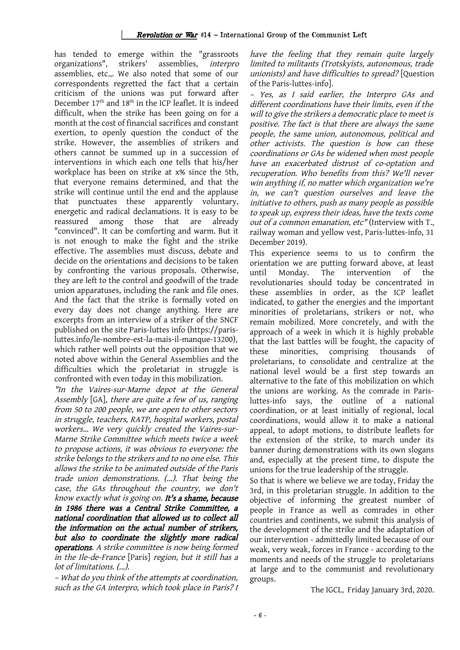#### Revolution or War #14 – International Group of the Communist Left

has tended to emerge within the "grassroots organizations", strikers' assemblies, interpro assemblies, etc.,. We also noted that some of our correspondents regretted the fact that a certain criticism of the unions was put forward after December  $17<sup>th</sup>$  and  $18<sup>th</sup>$  in the ICP leaflet. It is indeed difficult, when the strike has been going on for a month at the cost of financial sacrifices and constant exertion, to openly question the conduct of the strike. However, the assemblies of strikers and others cannot be summed up in a succession of interventions in which each one tells that his/her workplace has been on strike at x% since the 5th, that everyone remains determined, and that the strike will continue until the end and the applause that punctuates these apparently voluntary, energetic and radical declamations. It is easy to be reassured among those that are already "convinced". It can be comforting and warm. But it is not enough to make the fight and the strike effective. The assemblies must discuss, debate and decide on the orientations and decisions to be taken by confronting the various proposals. Otherwise, they are left to the control and goodwill of the trade union apparatuses, including the rank and file ones. And the fact that the strike is formally voted on every day does not change anything. Here are excerpts from an interview of a striker of the SNCF published on the site Paris-luttes info (https://parisluttes.info/le-nombre-est-la-mais-il-manque-13200), which rather well points out the opposition that we noted above within the General Assemblies and the difficulties which the proletariat in struggle is confronted with even today in this mobilization.

"In the Vaires-sur-Marne depot at the General Assembly [GA], there are quite a few of us, ranging from 50 to 200 people, we are open to other sectors in struggle, teachers, RATP, hospital workers, postal workers... We very quickly created the Vaires-sur-Marne Strike Committee which meets twice a week to propose actions, it was obvious to everyone: the strike belongs to the strikers and to no one else. This allows the strike to be animated outside of the Paris trade union demonstrations. (...). That being the case, the GAs throughout the country, we don't know exactly what is going on. It's a shame, because in <sup>1986</sup> there was <sup>a</sup> Central Strike Committee, <sup>a</sup> national coordination that allowed us to collect all the information on the actual number of strikers, but also to coordinate the slightly more radical operations. A strike committee is now being formed in the Ile-de-France [Paris] region, but it still has a lot of limitations. (...).

– What do you think of the attempts at coordination, such as the GA interpro, which took place in Paris? I have the feeling that they remain quite largely limited to militants (Trotskyists, autonomous, trade unionists) and have difficulties to spread? [Question of the Paris-luttes-info].

– Yes, as <sup>I</sup> said earlier, the Interpro GAs and different coordinations have their limits, even if the will to give the strikers a democratic place to meet is positive. The fact is that there are always the same people, the same union, autonomous, political and other activists. The question is how can these coordinations or GAs be widened when most people have an exacerbated distrust of co-optation and recuperation. Who benefits from this? We'll never win anything if, no matter which organization we're in, we can't question ourselves and leave the initiative to others, push as many people as possible to speak up, express their ideas, have the texts come out of a common emanation, etc" (Interview with T., railway woman and yellow vest, Paris-luttes-info, 31 December 2019).

This experience seems to us to confirm the orientation we are putting forward above, at least until Monday. The intervention of the revolutionaries should today be concentrated in these assemblies in order, as the ICP leaflet indicated, to gather the energies and the important minorities of proletarians, strikers or not, who remain mobilized. More concretely, and with the approach of a week in which it is highly probable that the last battles will be fought, the capacity of these minorities, comprising thousands of proletarians, to consolidate and centralize at the national level would be a first step towards an alternative to the fate of this mobilization on which the unions are working. As the comrade in Parisluttes-info says, the outline of a national coordination, or at least initially of regional, local coordinations, would allow it to make a national appeal, to adopt motions, to distribute leaflets for the extension of the strike, to march under its banner during demonstrations with its own slogans and, especially at the present time, to dispute the unions for the true leadership of the struggle.

So that is where we believe we are today, Friday the 3rd, in this proletarian struggle. In addition to the objective of informing the greatest number of people in France as well as comrades in other countries and continents, we submit this analysis of the development of the strike and the adaptation of our intervention - admittedly limited because of our weak, very weak, forces in France - according to the moments and needs of the struggle to proletarians at large and to the communist and revolutionary groups.

The IGCL, Friday January 3rd, 2020.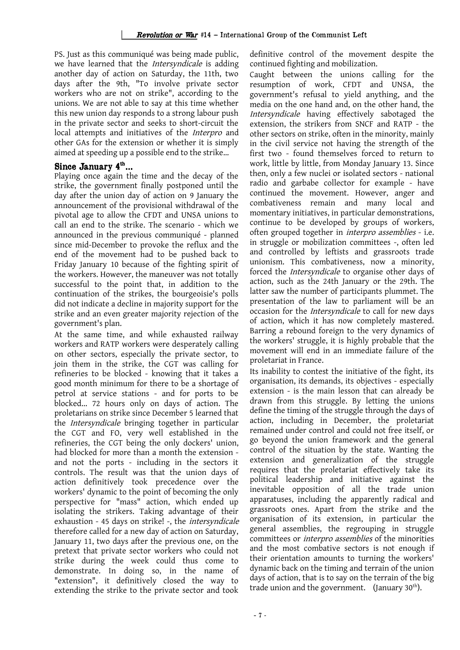PS. Just as this communiqué was being made public, we have learned that the Intersyndicale is adding another day of action on Saturday, the 11th, two days after the 9th, "To involve private sector workers who are not on strike", according to the unions. We are not able to say at this time whether this new union day responds to a strong labour push in the private sector and seeks to short-circuit the local attempts and initiatives of the Interpro and other GAs for the extension or whether it is simply aimed at speeding up a possible end to the strike…

## Since January  $4^{\text{th}}$ ...

Playing once again the time and the decay of the strike, the government finally postponed until the day after the union day of action on 9 January the announcement of the provisional withdrawal of the pivotal age to allow the CFDT and UNSA unions to call an end to the strike. The scenario - which we announced in the previous communiqué - planned since mid-December to provoke the reflux and the end of the movement had to be pushed back to Friday January 10 because of the fighting spirit of the workers. However, the maneuver was not totally successful to the point that, in addition to the continuation of the strikes, the bourgeoisie's polls did not indicate a decline in majority support for the strike and an even greater majority rejection of the government's plan.

At the same time, and while exhausted railway workers and RATP workers were desperately calling on other sectors, especially the private sector, to join them in the strike, the CGT was calling for refineries to be blocked - knowing that it takes a good month minimum for there to be a shortage of petrol at service stations - and for ports to be blocked... 72 hours only on days of action. The proletarians on strike since December 5 learned that the Intersyndicale bringing together in particular the CGT and FO, very well established in the refineries, the CGT being the only dockers' union, had blocked for more than a month the extension and not the ports - including in the sectors it controls. The result was that the union days of action definitively took precedence over the workers' dynamic to the point of becoming the only perspective for "mass" action, which ended up isolating the strikers. Taking advantage of their exhaustion - 45 days on strike! -, the intersyndicale therefore called for a new day of action on Saturday, January 11, two days after the previous one, on the pretext that private sector workers who could not strike during the week could thus come to demonstrate. In doing so, in the name of "extension", it definitively closed the way to extending the strike to the private sector and took

definitive control of the movement despite the continued fighting and mobilization.

Caught between the unions calling for the resumption of work, CFDT and UNSA, the government's refusal to yield anything, and the media on the one hand and, on the other hand, the Intersyndicale having effectively sabotaged the extension, the strikers from SNCF and RATP - the other sectors on strike, often in the minority, mainly in the civil service not having the strength of the first two - found themselves forced to return to work, little by little, from Monday January 13. Since then, only a few nuclei or isolated sectors - national radio and garbabe collector for example - have continued the movement. However, anger and combativeness remain and many local and momentary initiatives, in particular demonstrations, continue to be developed by groups of workers, often grouped together in interpro assemblies - i.e. in struggle or mobilization committees -, often led and controlled by leftists and grassroots trade unionism. This combativeness, now a minority, forced the Intersyndicale to organise other days of action, such as the 24th January or the 29th. The latter saw the number of participants plummet. The presentation of the law to parliament will be an occasion for the Intersyndicale to call for new days of action, which it has now completely mastered. Barring a rebound foreign to the very dynamics of the workers' struggle, it is highly probable that the movement will end in an immediate failure of the proletariat in France.

Its inability to contest the initiative of the fight, its organisation, its demands, its objectives - especially extension - is the main lesson that can already be drawn from this struggle. By letting the unions define the timing of the struggle through the days of action, including in December, the proletariat remained under control and could not free itself, or go beyond the union framework and the general control of the situation by the state. Wanting the extension and generalization of the struggle requires that the proletariat effectively take its political leadership and initiative against the inevitable opposition of all the trade union apparatuses, including the apparently radical and grassroots ones. Apart from the strike and the organisation of its extension, in particular the general assemblies, the regrouping in struggle committees or interpro assemblies of the minorities and the most combative sectors is not enough if their orientation amounts to turning the workers' dynamic back on the timing and terrain of the union days of action, that is to say on the terrain of the big trade union and the government. (January  $30<sup>th</sup>$ ).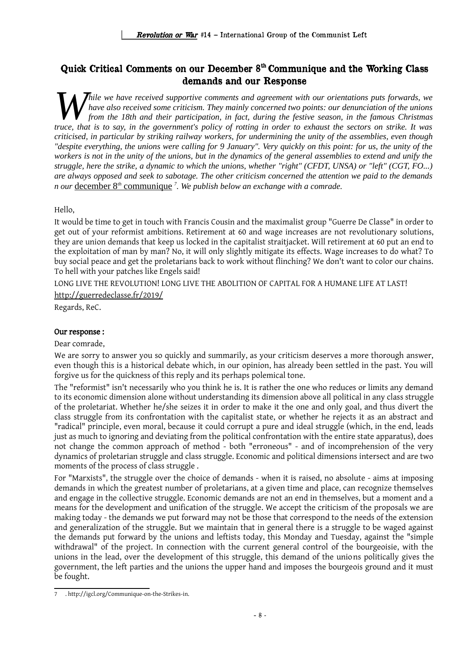# Quick Critical Comments on our December 8th Communique and the Working Class demands and our Response

*hile we have received supportive comments and agreement with our orientations puts forwards, we have also received some criticism. They mainly concerned two points: our denunciation of the unions from the 18th and their participation, in fact, during the festive season, in the famous Christmas that is to say, in the governments and agreement with our orientations puts forwards, we have also received some criticism. They mainly concerned two points: our denunciation of the unions from the 18th and their particip criticised, in particular by striking railway workers, for undermining the unity of the assemblies, even though "despite everything, the unions were calling for 9 January". Very quickly on this point: for us, the unity of the workers is not in the unity of the unions, but in the dynamics of the general assemblies to extend and unify the struggle, here the strike, a dynamic to which the unions, whether "right" (CFDT, UNSA) or "left" (CGT, FO...) are always opposed and seek to sabotage. The other criticism concerned the attention we paid to the demands n our* [december 8](http://igcl.org/Communique-on-the-Strikes-in)*th*  [communique](http://igcl.org/Communique-on-the-Strikes-in) *[7](#page-9-0) . We publish below an exchange with a comrade.*

Hello,

It would be time to get in touch with Francis Cousin and the maximalist group "Guerre De Classe" in order to get out of your reformist ambitions. Retirement at 60 and wage increases are not revolutionary solutions, they are union demands that keep us locked in the capitalist straitjacket. Will retirement at 60 put an end to the exploitation of man by man? No, it will only slightly mitigate its effects. Wage increases to do what? To buy social peace and get the proletarians back to work without flinching? We don't want to color our chains. To hell with your patches like Engels said!

LONG LIVE THE REVOLUTION! LONG LIVE THE ABOLITION OF CAPITAL FOR A HUMANE LIFE AT LAST!

[http://guerredeclasse.fr/2019/](http://guerredeclasse.fr/2019/12/06/a-bas-les-greves-debiles-du-pere-noel-des-impostures-marchandes/?fbclid=IwAR356a-t0GK2HmArpqhZdu5iIbI2-2K8KFgSY4NbUlCPe819etemE4LJ7iA)

Regards, ReC.

#### Our response :

#### Dear comrade,

We are sorry to answer you so quickly and summarily, as your criticism deserves a more thorough answer, even though this is a historical debate which, in our opinion, has already been settled in the past. You will forgive us for the quickness of this reply and its perhaps polemical tone.

The "reformist" isn't necessarily who you think he is. It is rather the one who reduces or limits any demand to its economic dimension alone without understanding its dimension above all political in any class struggle of the proletariat. Whether he/she seizes it in order to make it the one and only goal, and thus divert the class struggle from its confrontation with the capitalist state, or whether he rejects it as an abstract and "radical" principle, even moral, because it could corrupt a pure and ideal struggle (which, in the end, leads just as much to ignoring and deviating from the political confrontation with the entire state apparatus), does not change the common approach of method - both "erroneous" - and of incomprehension of the very dynamics of proletarian struggle and class struggle. Economic and political dimensions intersect and are two moments of the process of class struggle .

For "Marxists", the struggle over the choice of demands - when it is raised, no absolute - aims at imposing demands in which the greatest number of proletarians, at a given time and place, can recognize themselves and engage in the collective struggle. Economic demands are not an end in themselves, but a moment and a means for the development and unification of the struggle. We accept the criticism of the proposals we are making today - the demands we put forward may not be those that correspond to the needs of the extension and generalization of the struggle. But we maintain that in general there is a struggle to be waged against the demands put forward by the unions and leftists today, this Monday and Tuesday, against the "simple withdrawal" of the project. In connection with the current general control of the bourgeoisie, with the unions in the lead, over the development of this struggle, this demand of the unions politically gives the government, the left parties and the unions the upper hand and imposes the bourgeois ground and it must be fought.

<span id="page-9-0"></span><sup>7</sup> . http://igcl.org/Communique-on-the-Strikes-in.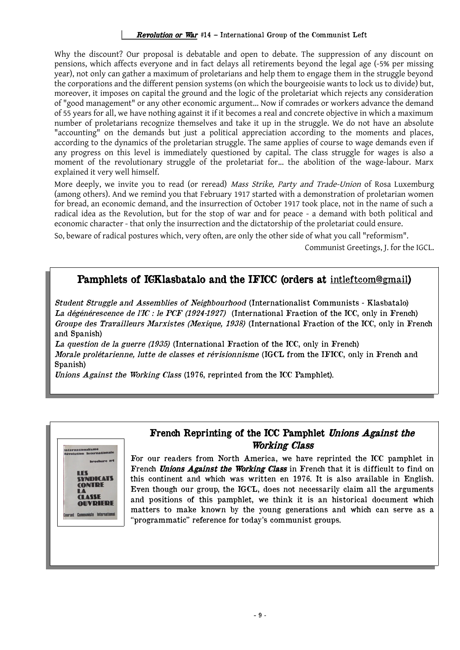#### Revolution or War #14 – International Group of the Communist Left

Why the discount? Our proposal is debatable and open to debate. The suppression of any discount on pensions, which affects everyone and in fact delays all retirements beyond the legal age (-5% per missing year), not only can gather a maximum of proletarians and help them to engage them in the struggle beyond the corporations and the different pension systems (on which the bourgeoisie wants to lock us to divide) but, moreover, it imposes on capital the ground and the logic of the proletariat which rejects any consideration of "good management" or any other economic argument... Now if comrades or workers advance the demand of 55 years for all, we have nothing against it if it becomes a real and concrete objective in which a maximum number of proletarians recognize themselves and take it up in the struggle. We do not have an absolute "accounting" on the demands but just a political appreciation according to the moments and places, according to the dynamics of the proletarian struggle. The same applies of course to wage demands even if any progress on this level is immediately questioned by capital. The class struggle for wages is also a moment of the revolutionary struggle of the proletariat for... the abolition of the wage-labour. Marx explained it very well himself.

More deeply, we invite you to read (or reread) Mass Strike, Party and Trade-Union of Rosa Luxemburg (among others). And we remind you that February 1917 started with a demonstration of proletarian women for bread, an economic demand, and the insurrection of October 1917 took place, not in the name of such a radical idea as the Revolution, but for the stop of war and for peace - a demand with both political and economic character - that only the insurrection and the dictatorship of the proletariat could ensure.

So, beware of radical postures which, very often, are only the other side of what you call "reformism".

Communist Greetings, J. for the IGCL.

# Pamphlets of IGKlasbatalo and the IFICC (orders at [intleftcom@gmail](mailto:intleftcom@gmail))

Student Struggle and Assemblies of Neighbourhood (Internationalist Communists - Klasbatalo) La dégénérescence de l'IC : le PCF (1924-1927) (International Fraction of the ICC, only in French) Groupe des Travailleurs Marxistes (Mexique, 1938) (International Fraction of the ICC, only in French and Spanish)

La question de la guerre (1935) (International Fraction of the ICC, only in French) Morale prolétarienne, lutte de classes et révisionnisme (IGCL from the IFICC, only in French and Spanish)

Unions Against the Working Class (1976, reprinted from the ICC Pamphlet).



## French Reprinting of the ICC Pamphlet Unions Against the Working Class

For our readers from North America, we have reprinted the ICC pamphlet in French Unions Against the Working Class in French that it is difficult to find on this continent and which was written en 1976. It is also available in English. Even though our group, the IGCL, does not necessarily claim all the arguments and positions of this pamphlet, we think it is an historical document which matters to make known by the young generations and which can serve as a "programmatic" reference for today's communist groups.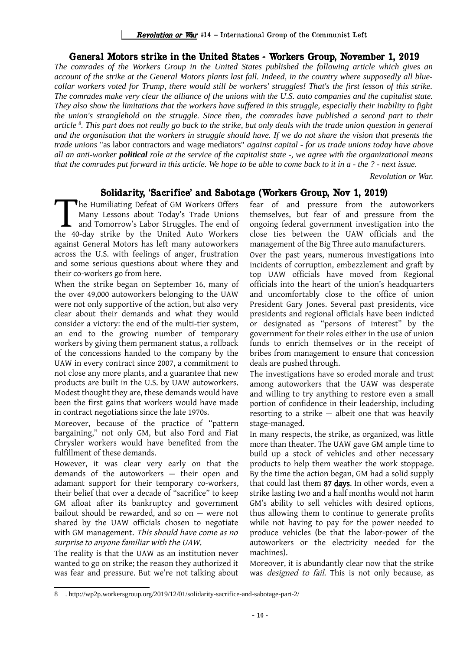## General Motors strike in the United States - Workers Group, November 1, 2019

*The comrades of the Workers Group in the United States published the following article which gives an account of the strike at the General Motors plants last fall. Indeed, in the country where supposedly all bluecollar workers voted for Trump, there would still be workers' struggles! That's the first lesson of this strike. The comrades make very clear the alliance of the unions with the U.S. auto companies and the capitalist state. They also show the limitations that the workers have suffered in this struggle, especially their inability to fight the union's stranglehold on the struggle. Since then, the comrades have published a second part to their article [8](#page-11-0) . This part does not really go back to the strike, but only deals with the trade union question in general and the organisation that the workers in struggle should have. If we do not share the vision that presents the trade unions* "as labor contractors and wage mediators" *against capital - for us trade unions today have above all an anti-worker political role at the service of the capitalist state -, we agree with the organizational means that the comrades put forward in this article. We hope to be able to come back to it in a - the ? - next issue.*

*Revolution or War.*

## Solidarity, 'Sacrifice' and Sabotage (Workers Group, Nov 1, 2019)

The Humiliating Defeat of GM Workers Offers Many Lessons about Today's Trade Unions and Tomorrow's Labor Struggles. The end of The Humiliating Defeat of GM Workers Offers<br>
Many Lessons about Today's Trade Unions<br>
and Tomorrow's Labor Struggles. The end of<br>
the 40-day strike by the United Auto Workers against General Motors has left many autoworkers across the U.S. with feelings of anger, frustration and some serious questions about where they and their co-workers go from here.

When the strike began on September 16, many of the over 49,000 autoworkers belonging to the UAW were not only supportive of the action, but also very clear about their demands and what they would consider a victory: the end of the multi-tier system, an end to the growing number of temporary workers by giving them permanent status, a rollback of the concessions handed to the company by the UAW in every contract since 2007, a commitment to not close any more plants, and a guarantee that new products are built in the U.S. by UAW autoworkers. Modest thought they are, these demands would have been the first gains that workers would have made in contract negotiations since the late 1970s.

Moreover, because of the practice of "pattern bargaining," not only GM, but also Ford and Fiat Chrysler workers would have benefited from the fulfillment of these demands.

However, it was clear very early on that the demands of the autoworkers — their open and adamant support for their temporary co-workers, their belief that over a decade of "sacrifice" to keep GM afloat after its bankruptcy and government bailout should be rewarded, and so on — were not shared by the UAW officials chosen to negotiate with GM management. This should have come as no surprise to anyone familiar with the UAW.

The reality is that the UAW as an institution never wanted to go on strike; the reason they authorized it was fear and pressure. But we're not talking about fear of and pressure from the autoworkers themselves, but fear of and pressure from the ongoing federal government investigation into the close ties between the UAW officials and the management of the Big Three auto manufacturers.

Over the past years, numerous investigations into incidents of corruption, embezzlement and graft by top UAW officials have moved from Regional officials into the heart of the union's headquarters and uncomfortably close to the office of union President Gary Jones. Several past presidents, vice presidents and regional officials have been indicted or designated as "persons of interest" by the government for their roles either in the use of union funds to enrich themselves or in the receipt of bribes from management to ensure that concession deals are pushed through.

The investigations have so eroded morale and trust among autoworkers that the UAW was desperate and willing to try anything to restore even a small portion of confidence in their leadership, including resorting to a strike — albeit one that was heavily stage-managed.

In many respects, the strike, as organized, was little more than theater. The UAW gave GM ample time to build up a stock of vehicles and other necessary products to help them weather the work stoppage. By the time the action began, GM had a solid supply that could last them 87 days. In other words, even a strike lasting two and a half months would not harm GM's ability to sell vehicles with desired options, thus allowing them to continue to generate profits while not having to pay for the power needed to produce vehicles (be that the labor-power of the autoworkers or the electricity needed for the machines).

Moreover, it is abundantly clear now that the strike was *designed to fail*. This is not only because, as

<span id="page-11-0"></span><sup>8</sup> . http://wp2p.workersgroup.org/2019/12/01/solidarity-sacrifice-and-sabotage-part-2/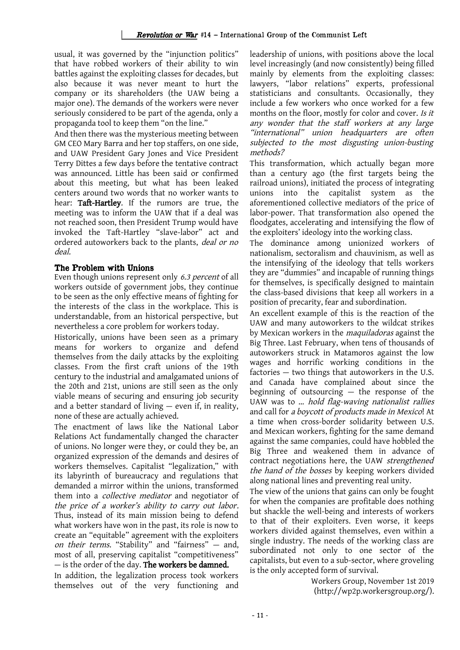usual, it was governed by the "injunction politics" that have robbed workers of their ability to win battles against the exploiting classes for decades, but also because it was never meant to hurt the company or its shareholders (the UAW being a major one). The demands of the workers were never seriously considered to be part of the agenda, only a propaganda tool to keep them "on the line."

And then there was the mysterious meeting between GM CEO Mary Barra and her top staffers, on one side, and UAW President Gary Jones and Vice President Terry Dittes a few days before the tentative contract was announced. Little has been said or confirmed about this meeting, but what has been leaked centers around two words that no worker wants to hear: Taft-Hartley. If the rumors are true, the meeting was to inform the UAW that if a deal was not reached soon, then President Trump would have invoked the Taft-Hartley "slave-labor" act and ordered autoworkers back to the plants, deal or no deal.

## The Problem with Unions

Even though unions represent only 6.3 percent of all workers outside of government jobs, they continue to be seen as the only effective means of fighting for the interests of the class in the workplace. This is understandable, from an historical perspective, but nevertheless a core problem for workers today.

Historically, unions have been seen as a primary means for workers to organize and defend themselves from the daily attacks by the exploiting classes. From the first craft unions of the 19th century to the industrial and amalgamated unions of the 20th and 21st, unions are still seen as the only viable means of securing and ensuring job security and a better standard of living — even if, in reality, none of these are actually achieved.

The enactment of laws like the National Labor Relations Act fundamentally changed the character of unions. No longer were they, or could they be, an organized expression of the demands and desires of workers themselves. Capitalist "legalization," with its labyrinth of bureaucracy and regulations that demanded a mirror within the unions, transformed them into a collective mediator and negotiator of the price of a worker's ability to carry out labor. Thus, instead of its main mission being to defend what workers have won in the past, its role is now to create an "equitable" agreement with the exploiters on their terms. "Stability" and "fairness" — and, most of all, preserving capitalist "competitiveness"  $-$  is the order of the day. The workers be damned.

In addition, the legalization process took workers themselves out of the very functioning and leadership of unions, with positions above the local level increasingly (and now consistently) being filled mainly by elements from the exploiting classes: lawyers, "labor relations" experts, professional statisticians and consultants. Occasionally, they include a few workers who once worked for a few months on the floor, mostly for color and cover. Is it any wonder that the staff workers at any large "international" union headquarters are often subjected to the most disgusting union-busting methods?

This transformation, which actually began more than a century ago (the first targets being the railroad unions), initiated the process of integrating unions into the capitalist system as the aforementioned collective mediators of the price of labor-power. That transformation also opened the floodgates, accelerating and intensifying the flow of the exploiters' ideology into the working class.

The dominance among unionized workers of nationalism, sectoralism and chauvinism, as well as the intensifying of the ideology that tells workers they are "dummies" and incapable of running things for themselves, is specifically designed to maintain the class-based divisions that keep all workers in a position of precarity, fear and subordination.

An excellent example of this is the reaction of the UAW and many autoworkers to the wildcat strikes by Mexican workers in the *maquiladoras* against the Big Three. Last February, when tens of thousands of autoworkers struck in Matamoros against the low wages and horrific working conditions in the factories — two things that autoworkers in the U.S. and Canada have complained about since the beginning of outsourcing — the response of the UAW was to … hold flag-waving nationalist rallies and call for a boycott of products made in Mexico! At a time when cross-border solidarity between U.S. and Mexican workers, fighting for the same demand against the same companies, could have hobbled the Big Three and weakened them in advance of contract negotiations here, the UAW strengthened the hand of the bosses by keeping workers divided along national lines and preventing real unity.

The view of the unions that gains can only be fought for when the companies are profitable does nothing but shackle the well-being and interests of workers to that of their exploiters. Even worse, it keeps workers divided against themselves, even within a single industry. The needs of the working class are subordinated not only to one sector of the capitalists, but even to a sub-sector, where groveling is the only accepted form of survival.

> Workers Group, November 1st 2019 (http://wp2p.workersgroup.org/).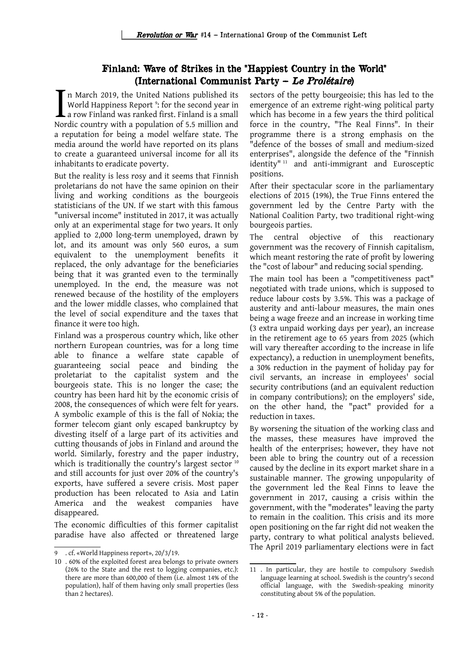# Finland: Wave of Strikes in the "Happiest Country in the World" (International Communist Party – Le Prolétaire)

n March 2019, the United Nations published its World Happiness Report <sup>[9](#page-13-0)</sup>: for the second year in a row Finland was ranked first. Finland is a small Nordic country with a population of 5.5 million and a reputation for being a model welfare state. The media around the world have reported on its plans to create a guaranteed universal income for all its inhabitants to eradicate poverty. I<br>Nor

But the reality is less rosy and it seems that Finnish proletarians do not have the same opinion on their living and working conditions as the bourgeois statisticians of the UN. If we start with this famous "universal income" instituted in 2017, it was actually only at an experimental stage for two years. It only applied to 2,000 long-term unemployed, drawn by lot, and its amount was only 560 euros, a sum equivalent to the unemployment benefits it replaced, the only advantage for the beneficiaries being that it was granted even to the terminally unemployed. In the end, the measure was not renewed because of the hostility of the employers and the lower middle classes, who complained that the level of social expenditure and the taxes that finance it were too high.

Finland was a prosperous country which, like other northern European countries, was for a long time able to finance a welfare state capable of guaranteeing social peace and binding the proletariat to the capitalist system and the bourgeois state. This is no longer the case; the country has been hard hit by the economic crisis of 2008, the consequences of which were felt for years. A symbolic example of this is the fall of Nokia; the former telecom giant only escaped bankruptcy by divesting itself of a large part of its activities and cutting thousands of jobs in Finland and around the world. Similarly, forestry and the paper industry, which is traditionally the country's largest sector <sup>[10](#page-13-1)</sup> and still accounts for just over 20% of the country's exports, have suffered a severe crisis. Most paper production has been relocated to Asia and Latin America and the weakest companies have disappeared.

The economic difficulties of this former capitalist paradise have also affected or threatened large sectors of the petty bourgeoisie; this has led to the emergence of an extreme right-wing political party which has become in a few years the third political force in the country, "The Real Finns". In their programme there is a strong emphasis on the "defence of the bosses of small and medium-sized enterprises", alongside the defence of the "Finnish identity" [11](#page-13-2) and anti-immigrant and Eurosceptic positions.

After their spectacular score in the parliamentary elections of 2015 (19%), the True Finns entered the government led by the Centre Party with the National Coalition Party, two traditional right-wing bourgeois parties.

The central objective of this reactionary government was the recovery of Finnish capitalism, which meant restoring the rate of profit by lowering the "cost of labour" and reducing social spending.

The main tool has been a "competitiveness pact" negotiated with trade unions, which is supposed to reduce labour costs by 3.5%. This was a package of austerity and anti-labour measures, the main ones being a wage freeze and an increase in working time (3 extra unpaid working days per year), an increase in the retirement age to 65 years from 2025 (which will vary thereafter according to the increase in life expectancy), a reduction in unemployment benefits, a 30% reduction in the payment of holiday pay for civil servants, an increase in employees' social security contributions (and an equivalent reduction in company contributions); on the employers' side, on the other hand, the "pact" provided for a reduction in taxes.

By worsening the situation of the working class and the masses, these measures have improved the health of the enterprises; however, they have not been able to bring the country out of a recession caused by the decline in its export market share in a sustainable manner. The growing unpopularity of the government led the Real Finns to leave the government in 2017, causing a crisis within the government, with the "moderates" leaving the party to remain in the coalition. This crisis and its more open positioning on the far right did not weaken the party, contrary to what political analysts believed. The April 2019 parliamentary elections were in fact

<span id="page-13-0"></span><sup>9</sup> . cf. «World Happiness report», 20/3/19.

<span id="page-13-1"></span><sup>10</sup> . 60% of the exploited forest area belongs to private owners (26% to the State and the rest to logging companies, etc.): there are more than 600,000 of them (i.e. almost 14% of the population), half of them having only small properties (less than 2 hectares).

<span id="page-13-2"></span><sup>11</sup> . In particular, they are hostile to compulsory Swedish language learning at school. Swedish is the country's second official language, with the Swedish-speaking minority constituting about 5% of the population.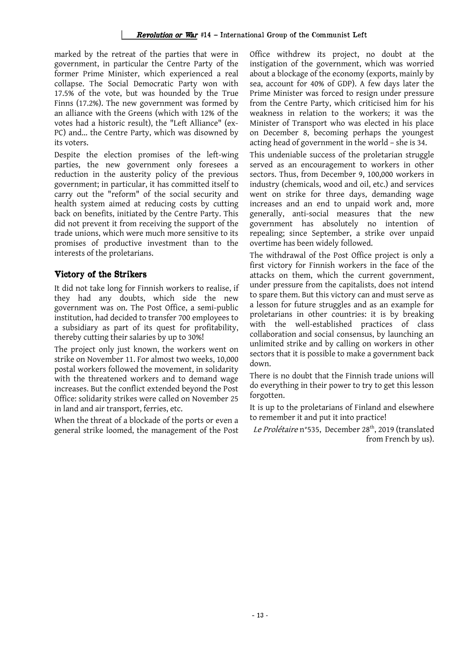marked by the retreat of the parties that were in government, in particular the Centre Party of the former Prime Minister, which experienced a real collapse. The Social Democratic Party won with 17.5% of the vote, but was hounded by the True Finns (17.2%). The new government was formed by an alliance with the Greens (which with 12% of the votes had a historic result), the "Left Alliance" (ex-PC) and... the Centre Party, which was disowned by its voters.

Despite the election promises of the left-wing parties, the new government only foresees a reduction in the austerity policy of the previous government; in particular, it has committed itself to carry out the "reform" of the social security and health system aimed at reducing costs by cutting back on benefits, initiated by the Centre Party. This did not prevent it from receiving the support of the trade unions, which were much more sensitive to its promises of productive investment than to the interests of the proletarians.

## Victory of the Strikers

It did not take long for Finnish workers to realise, if they had any doubts, which side the new government was on. The Post Office, a semi-public institution, had decided to transfer 700 employees to a subsidiary as part of its quest for profitability, thereby cutting their salaries by up to 30%!

The project only just known, the workers went on strike on November 11. For almost two weeks, 10,000 postal workers followed the movement, in solidarity with the threatened workers and to demand wage increases. But the conflict extended beyond the Post Office: solidarity strikes were called on November 25 in land and air transport, ferries, etc.

When the threat of a blockade of the ports or even a general strike loomed, the management of the Post Office withdrew its project, no doubt at the instigation of the government, which was worried about a blockage of the economy (exports, mainly by sea, account for 40% of GDP). A few days later the Prime Minister was forced to resign under pressure from the Centre Party, which criticised him for his weakness in relation to the workers; it was the Minister of Transport who was elected in his place on December 8, becoming perhaps the youngest acting head of government in the world – she is 34.

This undeniable success of the proletarian struggle served as an encouragement to workers in other sectors. Thus, from December 9, 100,000 workers in industry (chemicals, wood and oil, etc.) and services went on strike for three days, demanding wage increases and an end to unpaid work and, more generally, anti-social measures that the new government has absolutely no intention of repealing; since September, a strike over unpaid overtime has been widely followed.

The withdrawal of the Post Office project is only a first victory for Finnish workers in the face of the attacks on them, which the current government, under pressure from the capitalists, does not intend to spare them. But this victory can and must serve as a lesson for future struggles and as an example for proletarians in other countries: it is by breaking with the well-established practices of class collaboration and social consensus, by launching an unlimited strike and by calling on workers in other sectors that it is possible to make a government back down.

There is no doubt that the Finnish trade unions will do everything in their power to try to get this lesson forgotten.

It is up to the proletarians of Finland and elsewhere to remember it and put it into practice!

Le Prolétaire n°535, December 28<sup>th</sup>, 2019 (translated from French by us).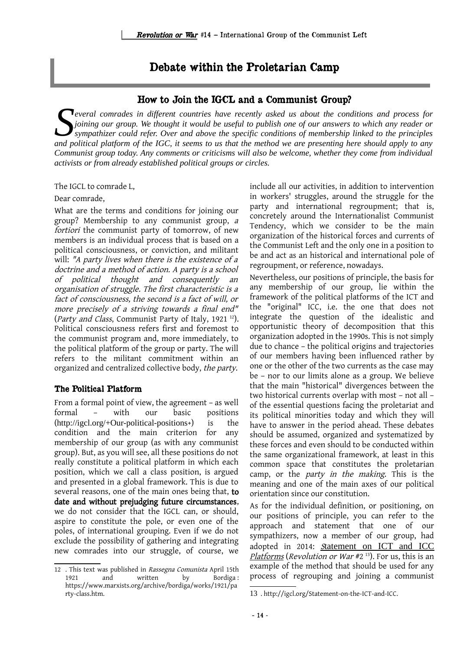# Debate within the Proletarian Camp

## How to Join the IGCL and a Communist Group?

*everal comrades in different countries have recently asked us about the conditions and process for joining our group. We thought it would be useful to publish one of our answers to which any reader or sympathizer could refer. Over and above the specific conditions of membership linked to the principles* **a** *and political platform of the IGC, it seems to us that the method we are presenting here should apply to any process for and political platform of the IGC, it seems to us that the method we are presenting here should Communist group today. Any comments or criticisms will also be welcome, whether they come from individual activists or from already established political groups or circles.* 

The IGCL to comrade L,

#### Dear comrade,

What are the terms and conditions for joining our group? Membership to any communist group, <sup>a</sup> fortiori the communist party of tomorrow, of new members is an individual process that is based on a political consciousness, or conviction, and militant will: "A party lives when there is the existence of a doctrine and a method of action. A party is a school of political thought and consequently an organisation of struggle. The first characteristic is a fact of consciousness, the second is a fact of will, or more precisely of <sup>a</sup> striving towards <sup>a</sup> final end" (Party and Class, Communist Party of Italy, 1921<sup>[12](#page-15-0)</sup>). Political consciousness refers first and foremost to the communist program and, more immediately, to the political platform of the group or party. The will refers to the militant commitment within an organized and centralized collective body, the party.

#### The Political Platform

From a formal point of view, the agreement – as well formal – with our basic positions (http://igcl.org/+Our-political-positions+) is the condition and the main criterion for any membership of our group (as with any communist group). But, as you will see, all these positions do not really constitute a political platform in which each position, which we call a class position, is argued and presented in a global framework. This is due to several reasons, one of the main ones being that, to date and without prejudging future circumstances, we do not consider that the IGCL can, or should, aspire to constitute the pole, or even one of the poles, of international grouping. Even if we do not exclude the possibility of gathering and integrating new comrades into our struggle, of course, we include all our activities, in addition to intervention in workers' struggles, around the struggle for the party and international regroupment; that is, concretely around the Internationalist Communist Tendency, which we consider to be the main organization of the historical forces and currents of the Communist Left and the only one in a position to be and act as an historical and international pole of regroupment, or reference, nowadays.

Nevertheless, our positions of principle, the basis for any membership of our group, lie within the framework of the political platforms of the ICT and the "original" ICC, i.e. the one that does not integrate the question of the idealistic and opportunistic theory of decomposition that this organization adopted in the 1990s. This is not simply due to chance – the political origins and trajectories of our members having been influenced rather by one or the other of the two currents as the case may be – nor to our limits alone as a group. We believe that the main "historical" divergences between the two historical currents overlap with most – not all – of the essential questions facing the proletariat and its political minorities today and which they will have to answer in the period ahead. These debates should be assumed, organized and systematized by these forces and even should to be conducted within the same organizational framework, at least in this common space that constitutes the proletarian camp, or the party in the making. This is the meaning and one of the main axes of our political orientation since our constitution.

As for the individual definition, or positioning, on our positions of principle, you can refer to the approach and statement that one of our sympathizers, now a member of our group, had adoptedin 2014: S[tatement on ICT and ICC](http://igcl.org/Statement-on-the-ICT-and-ICC) [Platforms](http://igcl.org/Statement-on-the-ICT-and-ICC) (Revolution or War  $#2^{13}$  $#2^{13}$  $#2^{13}$ ). For us, this is an example of the method that should be used for any process of regrouping and joining a communist

<span id="page-15-0"></span><sup>12 .</sup> This text was published in Rassegna Comunista April 15th 1921 and written by Bordiga : https://www.marxists.org/archive/bordiga/works/1921/pa rty-class.htm.

<span id="page-15-1"></span><sup>13</sup> . http://igcl.org/Statement-on-the-ICT-and-ICC.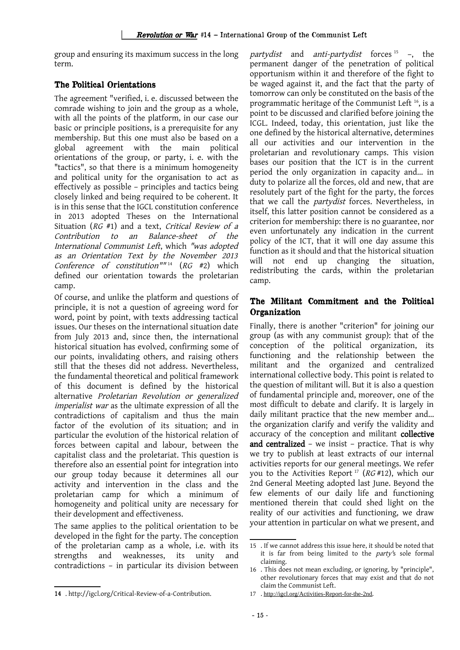group and ensuring its maximum success in the long term.

## The Political Orientations

The agreement "verified, i. e. discussed between the comrade wishing to join and the group as a whole, with all the points of the platform, in our case our basic or principle positions, is a prerequisite for any membership. But this one must also be based on a global agreement with the main political orientations of the group, or party, i. e. with the "tactics", so that there is a minimum homogeneity and political unity for the organisation to act as effectively as possible – principles and tactics being closely linked and being required to be coherent. It is in this sense that the IGCL constitution conference in 2013 adopted Theses on the International Situation (RG #1) and a text, Critical Review of <sup>a</sup> Contribution to an Balance-sheet of the International Communist Left, which "was adopted as an Orientation Text by the November <sup>2013</sup> Conference of constitution"" [14](#page-16-0) (RG #2) which defined our orientation towards the proletarian camp.

Of course, and unlike the platform and questions of principle, it is not a question of agreeing word for word, point by point, with texts addressing tactical issues. Our theses on the international situation date from July 2013 and, since then, the international historical situation has evolved, confirming some of our points, invalidating others, and raising others still that the theses did not address. Nevertheless, the fundamental theoretical and political framework of this document is defined by the historical alternative Proletarian Revolution or generalized imperialist war as the ultimate expression of all the contradictions of capitalism and thus the main factor of the evolution of its situation; and in particular the evolution of the historical relation of forces between capital and labour, between the capitalist class and the proletariat. This question is therefore also an essential point for integration into our group today because it determines all our activity and intervention in the class and the proletarian camp for which a minimum of homogeneity and political unity are necessary for their development and effectiveness.

The same applies to the political orientation to be developed in the fight for the party. The conception of the proletarian camp as a whole, i.e. with its strengths and weaknesses, its unity and contradictions – in particular its division between partydist and anti-partydist forces  $15 - 1$  $15 - 1$ , the permanent danger of the penetration of political opportunism within it and therefore of the fight to be waged against it, and the fact that the party of tomorrow can only be constituted on the basis of the programmatic heritage of the Communist Left [16](#page-16-2), is a point to be discussed and clarified before joining the ICGL. Indeed, today, this orientation, just like the one defined by the historical alternative, determines all our activities and our intervention in the proletarian and revolutionary camps. This vision bases our position that the ICT is in the current period the only organization in capacity and... in duty to polarize all the forces, old and new, that are resolutely part of the fight for the party, the forces that we call the *partydist* forces. Nevertheless, in itself, this latter position cannot be considered as a criterion for membership: there is no guarantee, nor even unfortunately any indication in the current policy of the ICT, that it will one day assume this function as it should and that the historical situation will not end up changing the situation, redistributing the cards, within the proletarian camp.

## The Militant Commitment and the Political **Organization**

Finally, there is another "criterion" for joining our group (as with any communist group): that of the conception of the political organization, its functioning and the relationship between the militant and the organized and centralized international collective body. This point is related to the question of militant will. But it is also a question of fundamental principle and, moreover, one of the most difficult to debate and clarify. It is largely in daily militant practice that the new member and... the organization clarify and verify the validity and accuracy of the conception and militant collective and centralized – we insist – practice. That is why we try to publish at least extracts of our internal activities reports for our general meetings. We refer you to the Activities Report<sup>[17](#page-16-3)</sup> ( $RG#12$ ), which our 2nd General Meeting adopted last June. Beyond the few elements of our daily life and functioning mentioned therein that could shed light on the reality of our activities and functioning, we draw your attention in particular on what we present, and

<span id="page-16-0"></span><sup>14</sup> . http://igcl.org/Critical-Review-of-a-Contribution.

<span id="page-16-1"></span><sup>15</sup> . If we cannot address this issue here, it should be noted that it is far from being limited to the party's sole formal claiming.

<span id="page-16-2"></span><sup>16</sup> . This does not mean excluding, or ignoring, by "principle", other revolutionary forces that may exist and that do not claim the Communist Left.

<span id="page-16-3"></span><sup>17</sup> . <http://igcl.org/Activities-Report-for-the-2nd>.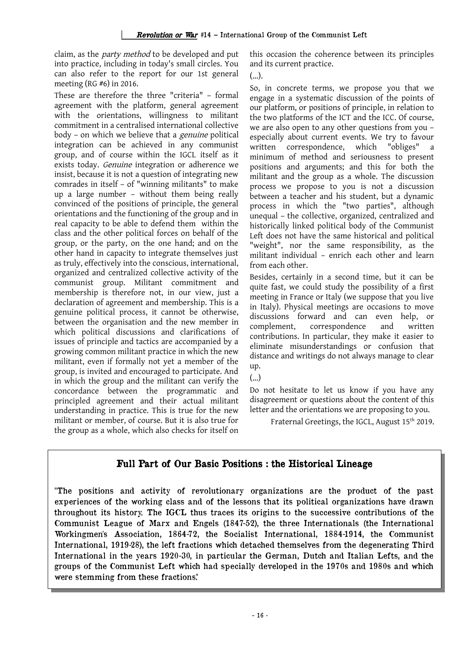claim, as the party method to be developed and put into practice, including in today's small circles. You can also refer to the report for our 1st general meeting (RG #6) in 2016.

These are therefore the three "criteria" – formal agreement with the platform, general agreement with the orientations, willingness to militant commitment in a centralised international collective body – on which we believe that a genuine political integration can be achieved in any communist group, and of course within the IGCL itself as it exists today. Genuine integration or adherence we insist, because it is not a question of integrating new comrades in itself – of "winning militants" to make up a large number – without them being really convinced of the positions of principle, the general orientations and the functioning of the group and in real capacity to be able to defend them within the class and the other political forces on behalf of the group, or the party, on the one hand; and on the other hand in capacity to integrate themselves just as truly, effectively into the conscious, international, organized and centralized collective activity of the communist group. Militant commitment and membership is therefore not, in our view, just a declaration of agreement and membership. This is a genuine political process, it cannot be otherwise, between the organisation and the new member in which political discussions and clarifications of issues of principle and tactics are accompanied by a growing common militant practice in which the new militant, even if formally not yet a member of the group, is invited and encouraged to participate. And in which the group and the militant can verify the concordance between the programmatic and principled agreement and their actual militant understanding in practice. This is true for the new militant or member, of course. But it is also true for the group as a whole, which also checks for itself on this occasion the coherence between its principles and its current practice.

(...).

So, in concrete terms, we propose you that we engage in a systematic discussion of the points of our platform, or positions of principle, in relation to the two platforms of the ICT and the ICC. Of course, we are also open to any other questions from you – especially about current events. We try to favour written correspondence, which "obliges" a minimum of method and seriousness to present positions and arguments; and this for both the militant and the group as a whole. The discussion process we propose to you is not a discussion between a teacher and his student, but a dynamic process in which the "two parties", although unequal – the collective, organized, centralized and historically linked political body of the Communist Left does not have the same historical and political "weight", nor the same responsibility, as the militant individual – enrich each other and learn from each other.

Besides, certainly in a second time, but it can be quite fast, we could study the possibility of a first meeting in France or Italy (we suppose that you live in Italy). Physical meetings are occasions to move discussions forward and can even help, or complement, correspondence and written contributions. In particular, they make it easier to eliminate misunderstandings or confusion that distance and writings do not always manage to clear up.

(...)

Do not hesitate to let us know if you have any disagreement or questions about the content of this letter and the orientations we are proposing to you.

Fraternal Greetings, the IGCL, August 15<sup>th</sup> 2019.

# Full Part of Our Basic Positions : the Historical Lineage

"The positions and activity of revolutionary organizations are the product of the past experiences of the working class and of the lessons that its political organizations have drawn throughout its history. The IGCL thus traces its origins to the successive contributions of the Communist League of Marx and Engels (1847-52), the three Internationals (the International Workingmen's Association, 1864-72, the Socialist International, 1884-1914, the Communist International, 1919-28), the left fractions which detached themselves from the degenerating Third International in the years 1920-30, in particular the German, Dutch and Italian Lefts, and the groups of the Communist Left which had specially developed in the 1970s and 1980s and which were stemming from these fractions."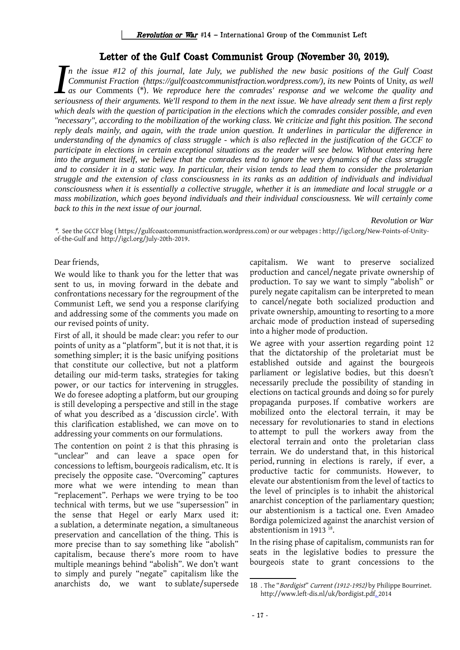## Letter of the Gulf Coast Communist Group (November 30, 2019).

*n the issue #12 of this journal, late July, we published the new basic positions of the Gulf Coast Communist Fraction (https://gulfcoastcommunistfraction.wordpress.com/), its new Points of Unity, as well as our Communist Fraction (https://gulfcoastcommunistfraction.wordpress.com/), its new Points of the Gulf Coast as our Comments (\*). We reproduce here the comrades' response and we welcome the quality and seriousness of t seriousness of their arguments. We'll respond to them in the next issue. We have already sent them a first reply which deals with the question of participation in the elections which the comrades consider possible, and even "necessary", according to the mobilization of the working class. We criticize and fight this position. The second reply deals mainly, and again, with the trade union question. It underlines in particular the difference in understanding of the dynamics of class struggle - which is also reflected in the justification of the GCCF to participate in elections in certain exceptional situations as the reader will see below. Without entering here into the argument itself, we believe that the comrades tend to ignore the very dynamics of the class struggle and to consider it in a static way. In particular, their vision tends to lead them to consider the proletarian struggle and the extension of class consciousness in its ranks as an addition of individuals and individual consciousness when it is essentially a collective struggle, whether it is an immediate and local struggle or a mass mobilization, which goes beyond individuals and their individual consciousness. We will certainly come back to this in the next issue of our journal.*

#### *Revolution or War*

\*. See the GCCF blog ( https://gulfcoastcommunistfraction.wordpress.com) or our webpages : http://igcl.org/New-Points-of-Unityof-the-Gulf and http://igcl.org/July-20th-2019.

Dear friends,

We would like to thank you for the letter that was sent to us, in moving forward in the debate and confrontations necessary for the regroupment of the Communist Left, we send you a response clarifying and addressing some of the comments you made on our revised points of unity.

First of all, it should be made clear: you refer to our points of unity as a "platform", but it is not that, it is something simpler; it is the basic unifying positions that constitute our collective, but not a platform detailing our mid-term tasks, strategies for taking power, or our tactics for intervening in struggles. We do foresee adopting a platform, but our grouping is still developing a perspective and still in the stage of what you described as a 'discussion circle'. With this clarification established, we can move on to addressing your comments on our formulations.

The contention on point 2 is that this phrasing is "unclear" and can leave a space open for concessions to leftism, bourgeois radicalism, etc. It is precisely the opposite case. "Overcoming" captures more what we were intending to mean than "replacement". Perhaps we were trying to be too technical with terms, but we use "supersession" in the sense that Hegel or early Marx used it: a sublation, a determinate negation, a simultaneous preservation and cancellation of the thing. This is more precise than to say something like "abolish" capitalism, because there's more room to have multiple meanings behind "abolish". We don't want to simply and purely "negate" capitalism like the anarchists do, we want to sublate/supersede capitalism. We want to preserve socialized production and cancel/negate private ownership of production. To say we want to simply "abolish" or purely negate capitalism can be interpreted to mean to cancel/negate both socialized production and private ownership, amounting to resorting to a more archaic mode of production instead of superseding into a higher mode of production.

We agree with your assertion regarding point 12 that the dictatorship of the proletariat must be established outside and against the bourgeois parliament or legislative bodies, but this doesn't necessarily preclude the possibility of standing in elections on tactical grounds and doing so for purely propaganda purposes. If combative workers are mobilized onto the electoral terrain, it may be necessary for revolutionaries to stand in elections to attempt to pull the workers away from the electoral terrain and onto the proletarian class terrain. We do understand that, in this historical period, running in elections is rarely, if ever, a productive tactic for communists. However, to elevate our abstentionism from the level of tactics to the level of principles is to inhabit the ahistorical anarchist conception of the parliamentary question; our abstentionism is a tactical one. Even Amadeo Bordiga polemicized against the anarchist version of abstentionism in 1913<sup>[18](#page-18-0)</sup>.

In the rising phase of capitalism, communists ran for seats in the legislative bodies to pressure the bourgeois state to grant concessions to the

<span id="page-18-0"></span><sup>18</sup> . The "Bordigist" Current (1912-1952) by Philippe Bourrinet. http://www.left-dis.nl/uk/bordigist.pdf. 2014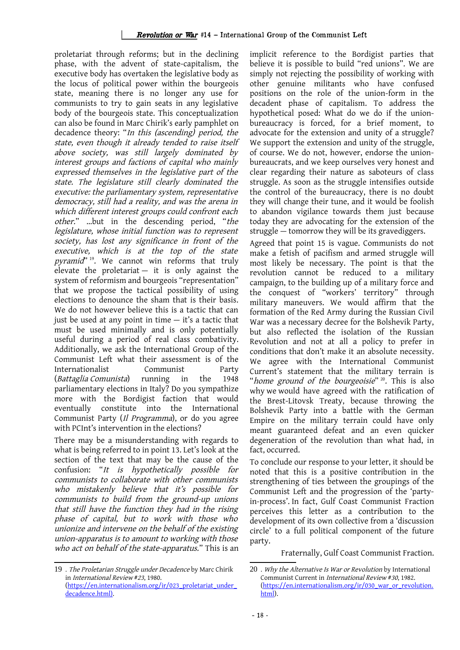proletariat through reforms; but in the declining phase, with the advent of state-capitalism, the executive body has overtaken the legislative body as the locus of political power within the bourgeois state, meaning there is no longer any use for communists to try to gain seats in any legislative body of the bourgeois state. This conceptualization can also be found in Marc Chirik's early pamphlet on decadence theory: "In this (ascending) period, the state, even though it already tended to raise itself above society, was still largely dominated by interest groups and factions of capital who mainly expressed themselves in the legislative part of the state. The legislature still clearly dominated the executive: the parliamentary system, representative democracy, still had a reality, and was the arena in which different interest groups could confront each other." …but in the descending period, "the legislature, whose initial function was to represent society, has lost any significance in front of the executive, which is at the top of the state pyramid"<sup>[19](#page-19-0)</sup>. We cannot win reforms that truly elevate the proletariat  $-$  it is only against the system of reformism and bourgeois "representation" that we propose the tactical possibility of using elections to denounce the sham that is their basis. We do not however believe this is a tactic that can just be used at any point in time  $-$  it's a tactic that must be used minimally and is only potentially useful during a period of real class combativity. Additionally, we ask the International Group of the Communist Left what their assessment is of the Internationalist Communist Party (Battaglia Comunista) running in the 1948 parliamentary elections in Italy? Do you sympathize more with the Bordigist faction that would eventually constitute into the International Communist Party (Il Programma), or do you agree with PCInt's intervention in the elections?

There may be a misunderstanding with regards to what is being referred to in point 13. Let's look at the section of the text that may be the cause of the confusion: "It is hypothetically possible for communists to collaborate with other communists who mistakenly believe that it's possible for communists to build from the ground-up unions that still have the function they had in the rising phase of capital, but to work with those who unionize and intervene on the behalf of the existing union-apparatus is to amount to working with those who act on behalf of the state-apparatus." This is an implicit reference to the Bordigist parties that believe it is possible to build "red unions". We are simply not rejecting the possibility of working with other genuine militants who have confused positions on the role of the union-form in the decadent phase of capitalism. To address the hypothetical posed: What do we do if the unionbureaucracy is forced, for a brief moment, to advocate for the extension and unity of a struggle? We support the extension and unity of the struggle, of course. We do not, however, endorse the unionbureaucrats, and we keep ourselves very honest and clear regarding their nature as saboteurs of class struggle. As soon as the struggle intensifies outside the control of the bureaucracy, there is no doubt they will change their tune, and it would be foolish to abandon vigilance towards them just because today they are advocating for the extension of the struggle — tomorrow they will be its gravediggers.

Agreed that point 15 is vague. Communists do not make a fetish of pacifism and armed struggle will most likely be necessary. The point is that the revolution cannot be reduced to a military campaign, to the building up of a military force and the conquest of "workers' territory" through military maneuvers. We would affirm that the formation of the Red Army during the Russian Civil War was a necessary decree for the Bolshevik Party, but also reflected the isolation of the Russian Revolution and not at all a policy to prefer in conditions that don't make it an absolute necessity. We agree with the International Communist Current's statement that the military terrain is "home ground of the bourgeoisie"<sup>[20](#page-19-1)</sup>. This is also why we would have agreed with the ratification of the Brest-Litovsk Treaty, because throwing the Bolshevik Party into a battle with the German Empire on the military terrain could have only meant guaranteed defeat and an even quicker degeneration of the revolution than what had, in fact, occurred.

To conclude our response to your letter, it should be noted that this is a positive contribution in the strengthening of ties between the groupings of the Communist Left and the progression of the 'partyin-process'. In fact, Gulf Coast Communist Fraction perceives this letter as a contribution to the development of its own collective from a 'discussion circle' to a full political component of the future party.

Fraternally, Gulf Coast Communist Fraction.

<span id="page-19-0"></span><sup>19</sup> . The Proletarian Struggle under Decadence by Marc Chirik in International Review #23, 1980. (https://en.internationalism.org/ir/023\_proletariat\_under\_ decadence.html).

<span id="page-19-1"></span><sup>20 .</sup> Why the Alternative Is War or Revolution by International Communist Current in International Review #30, 1982. (https://en.internationalism.org/ir/030\_war\_or\_revolution. html).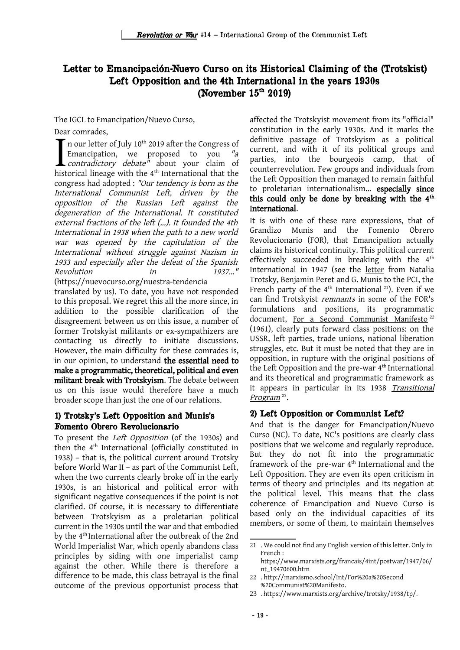# Letter to Emancipación-Nuevo Curso on its Historical Claiming of the (Trotskist) Left Opposition and the 4th International in the years 1930s (November  $15<sup>th</sup> 2019$ )

The IGCL to Emancipation/Nuevo Curso,

Dear comrades,

 $\blacksquare$  n our letter of July 10<sup>th</sup> 2019 after the Congress of Emancipation, we proposed to you "a **L** contradictory debate" about your claim of France contrades,<br>
In our letter of July 10<sup>th</sup> 2019 after the Congress of<br>
Emancipation, we proposed to you "a<br> *contradictory debate*" about your claim of<br>
historical lineage with the 4<sup>th</sup> International that the congress had adopted : "Our tendency is born as the International Communist Left, driven by the opposition of the Russian Left against the degeneration of the International. It constituted external fractions of the left (...). It founded the 4th International in 1938 when the path to a new world war was opened by the capitulation of the International without struggle against Nazism in 1933 and especially after the defeat of the Spanish Revolution in 1937..."

(https://nuevocurso.org/nuestra-tendencia translated by us). To date, you have not responded to this proposal. We regret this all the more since, in addition to the possible clarification of the disagreement between us on this issue, a number of former Trotskyist militants or ex-sympathizers are contacting us directly to initiate discussions. However, the main difficulty for these comrades is, in our opinion, to understand the essential need to make a programmatic, theoretical, political and even militant break with Trotskyism. The debate between us on this issue would therefore have a much broader scope than just the one of our relations.

## 1) Trotsky's Left Opposition and Munis's Fomento Obrero Revolucionario

To present the Left Opposition (of the 1930s) and then the 4<sup>th</sup> International (officially constituted in 1938) – that is, the political current around Trotsky before World War II – as part of the Communist Left, when the two currents clearly broke off in the early 1930s, is an historical and political error with significant negative consequences if the point is not clarified. Of course, it is necessary to differentiate between Trotskyism as a proletarian political current in the 1930s until the war and that embodied by the 4th International after the outbreak of the 2nd World Imperialist War, which openly abandons class principles by siding with one imperialist camp against the other. While there is therefore a difference to be made, this class betrayal is the final outcome of the previous opportunist process that affected the Trotskyist movement from its "official" constitution in the early 1930s. And it marks the definitive passage of Trotskyism as a political current, and with it of its political groups and parties, into the bourgeois camp, that of counterrevolution. Few groups and individuals from the Left Opposition then managed to remain faithful to proletarian internationalism... especially since this could only be done by breaking with the 4<sup>th</sup> International.

It is with one of these rare expressions, that of Grandizo Munis and the Fomento Obrero Revolucionario (FOR), that Emancipation actually claims its historical continuity. This political current effectively succeeded in breaking with the  $4<sup>th</sup>$ International in 1947 (see the [letter](https://www.marxists.org/francais/4int/postwar/1947/06/nt_19470600.htm) from Natalia Trotsky, Benjamin Peret and G. Munis to the PCI, the French party of the  $4^{\text{th}}$  International<sup>[21](#page-20-0)</sup>). Even if we can find Trotskyist remnants in some of the FOR's formulations and positions, its programmatic document, [For a Second Communist Manifesto](http://marxismo.school/Int/For%20a%20Second%20Communist%20Manifesto)<sup>[22](#page-20-1)</sup> (1961), clearly puts forward class positions: on the USSR, left parties, trade unions, national liberation struggles, etc. But it must be noted that they are in opposition, in rupture with the original positions of the Left Opposition and the pre-war  $4<sup>th</sup>$  International and its theoretical and programmatic framework as it appears in particular in its 1938 Transitional [Program](https://www.marxists.org/archive/trotsky/1938/tp/)<sup>[23](#page-20-2)</sup>.

## 2) Left Opposition or Communist Left?

And that is the danger for Emancipation/Nuevo Curso (NC). To date, NC's positions are clearly class positions that we welcome and regularly reproduce. But they do not fit into the programmatic framework of the pre-war  $4<sup>th</sup>$  International and the Left Opposition. They are even its open criticism in terms of theory and principles and its negation at the political level. This means that the class coherence of Emancipation and Nuevo Curso is based only on the individual capacities of its members, or some of them, to maintain themselves

<span id="page-20-0"></span><sup>21</sup> . We could not find any English version of this letter. Only in French : https://www.marxists.org/francais/4int/postwar/1947/06/

nt\_19470600.htm

<span id="page-20-1"></span><sup>22</sup> . http://marxismo.school/Int/For%20a%20Second %20Communist%20Manifesto.

<span id="page-20-2"></span><sup>23</sup> . https://www.marxists.org/archive/trotsky/1938/tp/.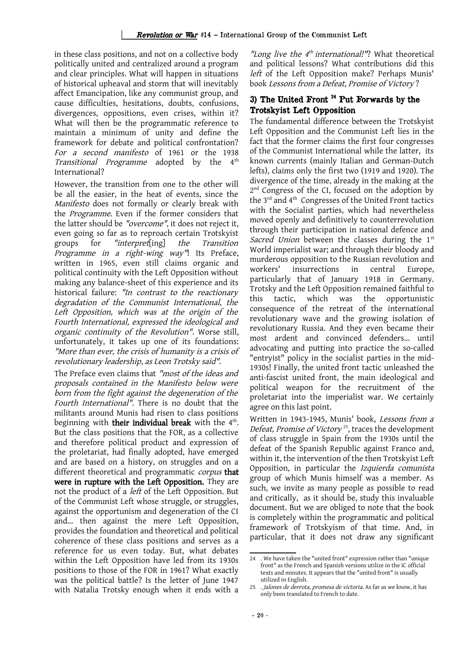in these class positions, and not on a collective body politically united and centralized around a program and clear principles. What will happen in situations of historical upheaval and storm that will inevitably affect Emancipation, like any communist group, and cause difficulties, hesitations, doubts, confusions, divergences, oppositions, even crises, within it? What will then be the programmatic reference to maintain a minimum of unity and define the framework for debate and political confrontation? For <sup>a</sup> second manifesto of 1961 or the 1938 Transitional Programme adopted by the  $4<sup>th</sup>$ International?

However, the transition from one to the other will be all the easier, in the heat of events, since the Manifesto does not formally or clearly break with the Programme. Even if the former considers that the latter should be "overcome", it does not reject it, even going so far as to reproach certain Trotskyist groups for "interpret[ing] the Transition Programme in a right-wing way"! Its Preface, written in 1965, even still claims organic and political continuity with the Left Opposition without making any balance-sheet of this experience and its historical failure: "In contrast to the reactionary degradation of the Communist International, the Left Opposition, which was at the origin of the Fourth International, expressed the ideological and organic continuity of the Revolution". Worse still, unfortunately, it takes up one of its foundations: "More than ever, the crisis of humanity is a crisis of revolutionary leadership, as Leon Trotsky said".

The Preface even claims that "most of the ideas and proposals contained in the Manifesto below were born from the fight against the degeneration of the Fourth International". There is no doubt that the militants around Munis had risen to class positions beginning with **their individual break** with the 4<sup>th</sup>. But the class positions that the FOR, as a collective and therefore political product and expression of the proletariat, had finally adopted, have emerged and are based on a history, on struggles and on a different theoretical and programmatic *corpus* that were in rupture with the Left Opposition. They are not the product of a left of the Left Opposition. But of the Communist Left whose struggle, or struggles, against the opportunism and degeneration of the CI and... then against the mere Left Opposition, provides the foundation and theoretical and political coherence of these class positions and serves as a reference for us even today. But, what debates within the Left Opposition have led from its 1930s positions to those of the FOR in 1961? What exactly was the political battle? Is the letter of June 1947 with Natalia Trotsky enough when it ends with a

"Long live the 4<sup>th</sup> international!"? What theoretical and political lessons? What contributions did this left of the Left Opposition make? Perhaps Munis' book Lessons from a Defeat, Promise of Victory ?

## 3) The United Front [24](#page-21-0) Put Forwards by the Trotskyist Left Opposition

The fundamental difference between the Trotskyist Left Opposition and the Communist Left lies in the fact that the former claims the first four congresses of the Communist International while the latter, its known currents (mainly Italian and German-Dutch lefts), claims only the first two (1919 and 1920). The divergence of the time, already in the making at the 2<sup>nd</sup> Congress of the CI, focused on the adoption by the 3<sup>rd</sup> and 4<sup>th</sup> Congresses of the United Front tactics with the Socialist parties, which had nevertheless moved openly and definitively to counterrevolution through their participation in national defence and Sacred Union between the classes during the 1st World imperialist war; and through their bloody and murderous opposition to the Russian revolution and workers' insurrections in central Europe, particularly that of January 1918 in Germany. Trotsky and the Left Opposition remained faithful to this tactic, which was the opportunistic consequence of the retreat of the international revolutionary wave and the growing isolation of revolutionary Russia. And they even became their most ardent and convinced defenders... until advocating and putting into practice the so-called "entryist" policy in the socialist parties in the mid-1930s! Finally, the united front tactic unleashed the anti-fascist united front, the main ideological and political weapon for the recruitment of the proletariat into the imperialist war. We certainly agree on this last point.

Written in 1943-1945, Munis' book, Lessons from a Defeat, Promise of Victory<sup>[25](#page-21-1)</sup>, traces the development of class struggle in Spain from the 1930s until the defeat of the Spanish Republic against Franco and, within it, the intervention of the then Trotskyist Left Opposition, in particular the Izquierda comunista group of which Munis himself was a member. As such, we invite as many people as possible to read and critically, as it should be, study this invaluable document. But we are obliged to note that the book is completely within the programmatic and political framework of Trotskyism of that time. And, in particular, that it does not draw any significant

<span id="page-21-0"></span><sup>24</sup> . We have taken the "united front" expression rather than "unique front" as the French and Spanish versions utilize in the IC official texts and minutes. It appears that the "united front" is usually utilized in English.

<span id="page-21-1"></span><sup>25 .</sup> Jalones de derrota, promesa de victoria. As far as we know, it has only been translated to French to date.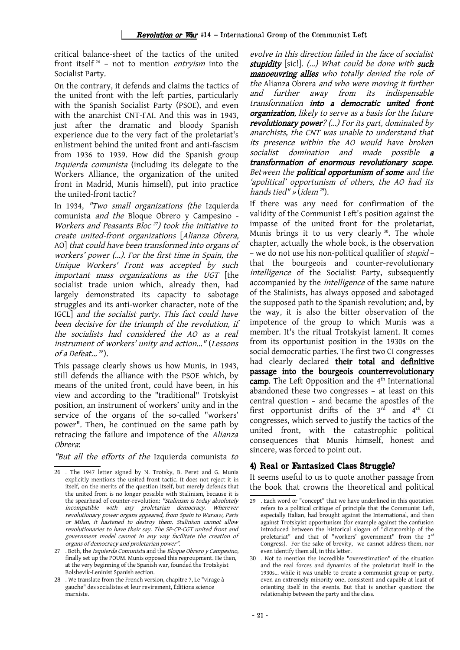critical balance-sheet of the tactics of the united front itself [26](#page-22-0) – not to mention entryism into the Socialist Party.

On the contrary, it defends and claims the tactics of the united front with the left parties, particularly with the Spanish Socialist Party (PSOE), and even with the anarchist CNT-FAI. And this was in 1943, just after the dramatic and bloody Spanish experience due to the very fact of the proletariat's enlistment behind the united front and anti-fascism from 1936 to 1939. How did the Spanish group Izquierda comunista (including its delegate to the Workers Alliance, the organization of the united front in Madrid, Munis himself), put into practice the united-front tactic?

In 1934, "Two small organizations (the Izquierda comunista and the Bloque Obrero y Campesino - Workers and Peasants Bloc [27](#page-22-1) ) took the initiative to create united-front organizations [Alianza Obrera, AO] that could have been transformed into organs of workers' power (...). For the first time in Spain, the Unique Workers' Front was accepted by such important mass organizations as the UGT [the socialist trade union which, already then, had largely demonstrated its capacity to sabotage struggles and its anti-worker character, note of the IGCL] and the socialist party. This fact could have been decisive for the triumph of the revolution, if the socialists had considered the AO as <sup>a</sup> real instrument of workers' unity and action..." (Lessons of a Defeat... [28](#page-22-2)).

This passage clearly shows us how Munis, in 1943, still defends the alliance with the PSOE which, by means of the united front, could have been, in his view and according to the "traditional" Trotskyist position, an instrument of workers' unity and in the service of the organs of the so-called "workers' power". Then, he continued on the same path by retracing the failure and impotence of the Alianza Obrera:

"But all the efforts of the Izquierda comunista to

evolve in this direction failed in the face of socialist stupidity [sic]. (...) What could be done with such manoeuvring allies who totally denied the role of the Alianza Obrera and who were moving it further and further away from its indispensable transformation into <sup>a</sup> democratic united front organization, likely to serve as a basis for the future revolutionary power? (...) For its part, dominated by anarchists, the CNT was unable to understand that its presence within the AO would have broken socialist domination and made possible **a** transformation of enormous revolutionary scope. Between the **political opportunism of some** and the 'apolitical' opportunism of others, the AO had its hands tied" » (idem  $29$ ).

If there was any need for confirmation of the validity of the Communist Left's position against the impasse of the united front for the proletariat, Munis brings it to us very clearly <sup>[30](#page-22-4)</sup>. The whole chapter, actually the whole book, is the observation – we do not use his non-political qualifier of stupid – that the bourgeois and counter-revolutionary intelligence of the Socialist Party, subsequently accompanied by the intelligence of the same nature of the Stalinists, has always opposed and sabotaged the supposed path to the Spanish revolution; and, by the way, it is also the bitter observation of the impotence of the group to which Munis was a member. It's the ritual Trotskyist lament. It comes from its opportunist position in the 1930s on the social democratic parties. The first two CI congresses had clearly declared their total and definitive passage into the bourgeois counterrevolutionary camp. The Left Opposition and the  $4<sup>th</sup>$  International abandoned these two congresses – at least on this central question – and became the apostles of the first opportunist drifts of the  $3<sup>rd</sup>$  and  $4<sup>th</sup>$  CI congresses, which served to justify the tactics of the united front, with the catastrophic political consequences that Munis himself, honest and sincere, was forced to point out.

## 4) Real or Fantasized Class Struggle?

It seems useful to us to quote another passage from the book that crowns the theoretical and political

<span id="page-22-0"></span><sup>26</sup> . The 1947 letter signed by N. Trotsky, B. Peret and G. Munis explicitly mentions the united front tactic. It does not reject it in itself, on the merits of the question itself, but merely defends that the united front is no longer possible with Stalinism, because it is the spearhead of counter-revolution: "Stalinism is today absolutely incompatible with any proletarian democracy. Wherever revolutionary power organs appeared, from Spain to Warsaw, Paris or Milan, it hastened to destroy them. Stalinism cannot allow revolutionaries to have their say. The SP-CP-CGT united front and government model cannot in any way facilitate the creation of organs of democracy and proletarian power".

<span id="page-22-1"></span><sup>27</sup> . Both, the Izquierda Comunista and the Bloque Obrero y Campesino, finally set up the POUM. Munis opposed this regroupment. He then, at the very beginning of the Spanish war, founded the Trotskyist Bolshevik-Leninist Spanish section.

<span id="page-22-2"></span><sup>28</sup> . We translate from the French version, chapitre 7, Le "virage à gauche" des socialistes et leur revirement, Éditions science marxiste.

<span id="page-22-3"></span><sup>29</sup> . Each word or "concept" that we have underlined in this quotation refers to a political critique of principle that the Communist Left, especially Italian, had brought against the International, and then against Trotskyist opportunism (for example against the confusion introduced between the historical slogan of "dictatorship of the proletariat" and that of "workers' government" from the 3<sup>rd</sup> Congress). For the sake of brevity, we cannot address them, nor even identify them all, in this letter.

<span id="page-22-4"></span><sup>30</sup> . Not to mention the incredible "overestimation" of the situation and the real forces and dynamics of the proletariat itself in the 1930s... while it was unable to create a communist group or party, even an extremely minority one, consistent and capable at least of orienting itself in the events. But that is another question: the relationship between the party and the class.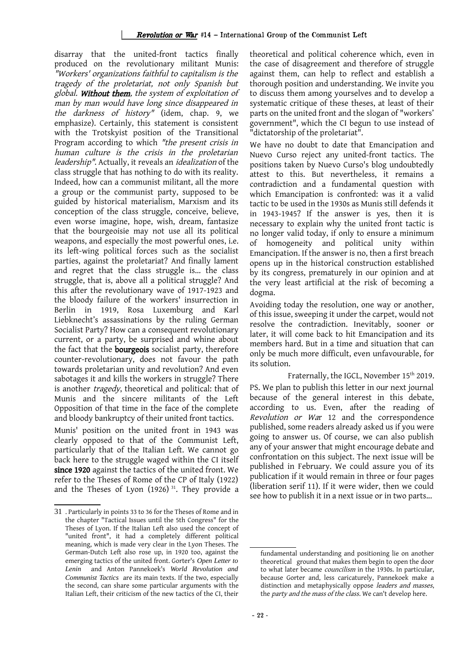#### Revolution or War #14 – International Group of the Communist Left

disarray that the united-front tactics finally produced on the revolutionary militant Munis: "Workers' organizations faithful to capitalism is the tragedy of the proletariat, not only Spanish but global. Without them, the system of exploitation of man by man would have long since disappeared in the darkness of history" (idem, chap. 9, we emphasize). Certainly, this statement is consistent with the Trotskyist position of the Transitional Program according to which "the present crisis in human culture is the crisis in the proletarian leadership". Actually, it reveals an idealization of the class struggle that has nothing to do with its reality. Indeed, how can a communist militant, all the more a group or the communist party, supposed to be guided by historical materialism, Marxism and its conception of the class struggle, conceive, believe, even worse imagine, hope, wish, dream, fantasize that the bourgeoisie may not use all its political weapons, and especially the most powerful ones, i.e. its left-wing political forces such as the socialist parties, against the proletariat? And finally lament and regret that the class struggle is... the class struggle, that is, above all a political struggle? And this after the revolutionary wave of 1917-1923 and the bloody failure of the workers' insurrection in Berlin in 1919, Rosa Luxemburg and Karl Liebknecht's assassinations by the ruling German Socialist Party? How can a consequent revolutionary current, or a party, be surprised and whine about the fact that the **bourgeois** socialist party, therefore counter-revolutionary, does not favour the path towards proletarian unity and revolution? And even sabotages it and kills the workers in struggle? There is another *tragedy*, theoretical and political: that of Munis and the sincere militants of the Left Opposition of that time in the face of the complete and bloody bankruptcy of their united front tactics.

Munis' position on the united front in 1943 was clearly opposed to that of the Communist Left, particularly that of the Italian Left. We cannot go back here to the struggle waged within the CI itself since 1920 against the tactics of the united front. We refer to the Theses of Rome of the CP of Italy (1922) and the Theses of Lyon  $(1926)$ <sup>[31](#page-23-0)</sup>. They provide a theoretical and political coherence which, even in the case of disagreement and therefore of struggle against them, can help to reflect and establish a thorough position and understanding. We invite you to discuss them among yourselves and to develop a systematic critique of these theses, at least of their parts on the united front and the slogan of "workers' government", which the CI begun to use instead of "dictatorship of the proletariat".

We have no doubt to date that Emancipation and Nuevo Curso reject any united-front tactics. The positions taken by Nuevo Curso's blog undoubtedly attest to this. But nevertheless, it remains a contradiction and a fundamental question with which Emancipation is confronted: was it a valid tactic to be used in the 1930s as Munis still defends it in 1943-1945? If the answer is yes, then it is necessary to explain why the united front tactic is no longer valid today, if only to ensure a minimum of homogeneity and political unity within Emancipation. If the answer is no, then a first breach opens up in the historical construction established by its congress, prematurely in our opinion and at the very least artificial at the risk of becoming a dogma.

Avoiding today the resolution, one way or another, of this issue, sweeping it under the carpet, would not resolve the contradiction. Inevitably, sooner or later, it will come back to hit Emancipation and its members hard. But in a time and situation that can only be much more difficult, even unfavourable, for its solution.

Fraternally, the IGCL, November 15<sup>th</sup> 2019. PS. We plan to publish this letter in our next journal because of the general interest in this debate, according to us. Even, after the reading of Revolution or War 12 and the correspondence published, some readers already asked us if you were going to answer us. Of course, we can also publish any of your answer that might encourage debate and confrontation on this subject. The next issue will be published in February. We could assure you of its publication if it would remain in three or four pages (liberation serif 11). If it were wider, then we could see how to publish it in a next issue or in two parts...

<span id="page-23-0"></span><sup>31</sup> . Particularly in points 33 to 36 for the Theses of Rome and in the chapter "Tactical Issues until the 5th Congress" for the Theses of Lyon. If the Italian Left also used the concept of "united front", it had a completely different political meaning, which is made very clear in the Lyon Theses. The German-Dutch Left also rose up, in 1920 too, against the emerging tactics of the united front. Gorter's *Open Letter to Lenin* and Anton Pannekoek's *World Revolution and Communist Tactics* are its main texts. If the two, especially the second, can share some particular arguments with the Italian Left, their criticism of the new tactics of the CI, their

fundamental understanding and positioning lie on another theoretical ground that makes them begin to open the door to what later became councilism in the 1930s. In particular, because Gorter and, less caricaturely, Pannekoek make a distinction and metaphysically oppose leaders and masses, the party and the mass of the class. We can't develop here.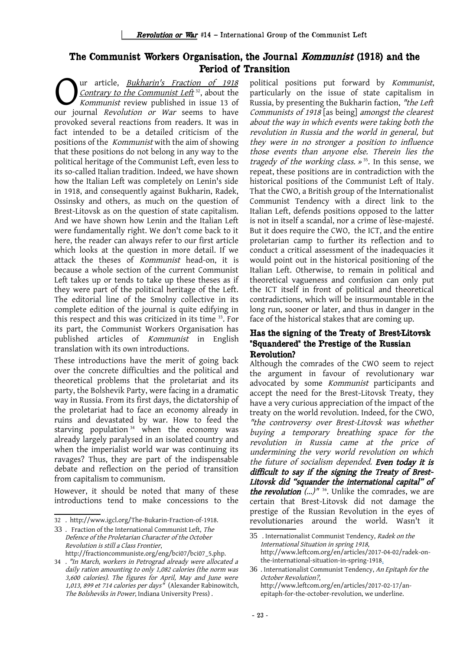## The Communist Workers Organisation, the Journal Kommunist (1918) and the Period of Transition

ur article, [Bukharin's](http://www.igcl.org/The-Bukarin-Fraction-of-1918) Fraction of [1918](http://www.igcl.org/The-Bukarin-Fraction-of-1918) Contrary to the Communist Left<sup>[32](#page-24-0)</sup>, about the Kommunist review published in issue 13 of **C**ur article, *Bukharin's Fraction of 1918*<br>Contrary to the Communist Left<sup>32</sup>, about the<br>Nour journal *Revolution or War* seems to have provoked several reactions from readers. It was in fact intended to be a detailed criticism of the positions of the Kommunist with the aim of showing that these positions do not belong in any way to the political heritage of the Communist Left, even less to its so-called Italian tradition. Indeed, we have shown how the Italian Left was completely on Lenin's side in 1918, and consequently against Bukharin, Radek, Ossinsky and others, as much on the question of Brest-Litovsk as on the question of state capitalism. And we have shown how Lenin and the Italian Left were fundamentally right. We don't come back to it here, the reader can always refer to our first article which looks at the question in more detail. If we attack the theses of Kommunist head-on, it is because a whole section of the current Communist Left takes up or tends to take up these theses as if they were part of the political heritage of the Left. The editorial line of the Smolny collective in its complete edition of the journal is quite edifying in this respect and this was criticized in its time [33](#page-24-1). For its part, the Communist Workers Organisation has published articles of Kommunist in English translation with its own introductions.

These introductions have the merit of going back over the concrete difficulties and the political and theoretical problems that the proletariat and its party, the Bolshevik Party, were facing in a dramatic way in Russia. From its first days, the dictatorship of the proletariat had to face an economy already in ruins and devastated by war. How to feed the starving population<sup>[34](#page-24-2)</sup> when the economy was already largely paralysed in an isolated country and when the imperialist world war was continuing its ravages? Thus, they are part of the indispensable debate and reflection on the period of transition from capitalism to communism.

However, it should be noted that many of these introductions tend to make concessions to the political positions put forward by Kommunist, particularly on the issue of state capitalism in Russia, by presenting the Bukharin faction, "the Left Communists of 1918 [as being] amongst the clearest about the way in which events were taking both the revolution in Russia and the world in general, but they were in no stronger <sup>a</sup> position to influence those events than anyone else. Therein lies the tragedy of the working class.  $\lambda$ <sup>[35](#page-24-3)</sup>. In this sense, we repeat, these positions are in contradiction with the historical positions of the Communist Left of Italy. That the CWO, a British group of the Internationalist Communist Tendency with a direct link to the Italian Left, defends positions opposed to the latter is not in itself a scandal, nor a crime of lèse-majesté. But it does require the CWO, the ICT, and the entire proletarian camp to further its reflection and to conduct a critical assessment of the inadequacies it would point out in the historical positioning of the Italian Left. Otherwise, to remain in political and theoretical vagueness and confusion can only put the ICT itself in front of political and theoretical contradictions, which will be insurmountable in the long run, sooner or later, and thus in danger in the face of the historical stakes that are coming up.

#### Has the signing of the Treaty of Brest-Litovsk "Squandered" the Prestige of the Russian Revolution?

Although the comrades of the CWO seem to reject the argument in favour of revolutionary war advocated by some Kommunist participants and accept the need for the Brest-Litovsk Treaty, they have a very curious appreciation of the impact of the treaty on the world revolution. Indeed, for the CWO, "the controversy over Brest-Litovsk was whether buying <sup>a</sup> temporary breathing space for the revolution in Russia came at the price of undermining the very world revolution on which the future of socialism depended. Even today it is difficult to say if the signing the Treaty of Brest-Litovsk did "squander the international capital" of *the revolution*  $(\ldots)^{n}$ <sup>[36](#page-24-4)</sup>. Unlike the comrades, we are certain that Brest-Litovsk did not damage the prestige of the Russian Revolution in the eyes of revolutionaries around the world. Wasn't it

<span id="page-24-0"></span><sup>32</sup> . http://www.igcl.org/The-Bukarin-Fraction-of-1918.

<span id="page-24-1"></span><sup>33</sup> . Fraction of the International Communist Left, The Defence of the Proletarian Character of the October Revolution is still a Class Frontier, http://fractioncommuniste.org/eng/bci07/bci07\_5.php.

<span id="page-24-2"></span><sup>34</sup> . "In March, workers in Petrograd already were allocated a daily ration amounting to only 1,082 calories (the norm was 3,600 calories). The figures for April, May and June were 1,013, 899 et 714 calories per days" (Alexander Rabinowitch, The Bolsheviks in Power, Indiana University Press) .

<span id="page-24-3"></span><sup>35</sup> . Internationalist Communist Tendency, Radek on the International Situation in spring 1918, http://www.leftcom.org/en/articles/2017-04-02/radek-onthe-international-situation-in-spring-1918.

<span id="page-24-4"></span><sup>36</sup> . Internationalist Communist Tendency, An Epitaph for the October Revolution?, http://www.leftcom.org/en/articles/2017-02-17/anepitaph-for-the-october-revolution, we underline.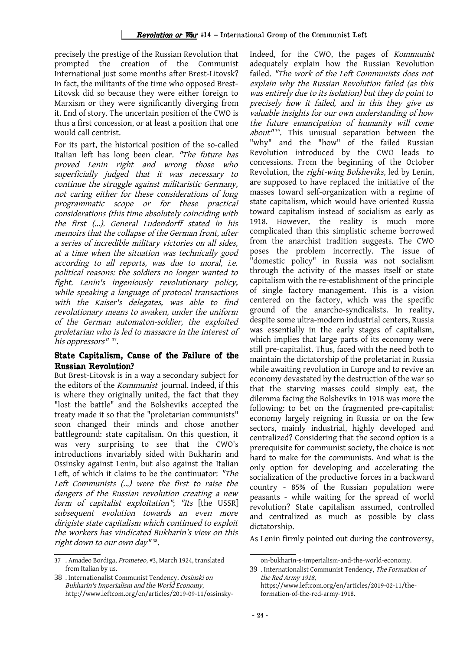precisely the prestige of the Russian Revolution that prompted the creation of the Communist International just some months after Brest-Litovsk? In fact, the militants of the time who opposed Brest-Litovsk did so because they were either foreign to Marxism or they were significantly diverging from it. End of story. The uncertain position of the CWO is thus a first concession, or at least a position that one would call centrist.

For its part, the historical position of the so-called Italian left has long been clear. "The future has proved Lenin right and wrong those who superficially judged that it was necessary to continue the struggle against militaristic Germany, not caring either for these considerations of long programmatic scope or for these practical considerations (this time absolutely coinciding with the first (...). General Ludendorff stated in his memoirs that the collapse of the German front, after a series of incredible military victories on all sides, at a time when the situation was technically good according to all reports, was due to moral, i.e. political reasons: the soldiers no longer wanted to fight. Lenin's ingeniously revolutionary policy, while speaking a language of protocol transactions with the Kaiser's delegates, was able to find revolutionary means to awaken, under the uniform of the German automaton-soldier, the exploited proletarian who is led to massacre in the interest of his oppressors"<sup>[37](#page-25-0)</sup>.

## State Capitalism, Cause of the Failure of the Russian Revolution?

But Brest-Litovsk is in a way a secondary subject for the editors of the Kommunist journal. Indeed, if this is where they originally united, the fact that they "lost the battle" and the Bolsheviks accepted the treaty made it so that the "proletarian communists" soon changed their minds and chose another battleground: state capitalism. On this question, it was very surprising to see that the CWO's introductions invariably sided with Bukharin and Ossinsky against Lenin, but also against the Italian Left, of which it claims to be the continuator: "The Left Communists (...) were the first to raise the dangers of the Russian revolution creating a new form of capitalist exploitation"; "Its [the USSR] subsequent evolution towards an even more dirigiste state capitalism which continued to exploit the workers has vindicated Bukharin's view on this right down to our own day"<sup>[38](#page-25-1)</sup>.

Indeed, for the CWO, the pages of Kommunist adequately explain how the Russian Revolution failed. "The work of the Left Communists does not explain why the Russian Revolution failed (as this was entirely due to its isolation) but they do point to precisely how it failed, and in this they give us valuable insights for our own understanding of how the future emancipation of humanity will come about"<sup>[39](#page-25-2)</sup>. This unusual separation between the "why" and the "how" of the failed Russian Revolution introduced by the CWO leads to concessions. From the beginning of the October Revolution, the right-wing Bolsheviks, led by Lenin, are supposed to have replaced the initiative of the masses toward self-organization with a regime of state capitalism, which would have oriented Russia toward capitalism instead of socialism as early as 1918. However, the reality is much more complicated than this simplistic scheme borrowed from the anarchist tradition suggests. The CWO poses the problem incorrectly. The issue of "domestic policy" in Russia was not socialism through the activity of the masses itself or state capitalism with the re-establishment of the principle of single factory management. This is a vision centered on the factory, which was the specific ground of the anarcho-syndicalists. In reality, despite some ultra-modern industrial centers, Russia was essentially in the early stages of capitalism, which implies that large parts of its economy were still pre-capitalist. Thus, faced with the need both to maintain the dictatorship of the proletariat in Russia while awaiting revolution in Europe and to revive an economy devastated by the destruction of the war so that the starving masses could simply eat, the dilemma facing the Bolsheviks in 1918 was more the following: to bet on the fragmented pre-capitalist economy largely reigning in Russia or on the few sectors, mainly industrial, highly developed and centralized? Considering that the second option is a prerequisite for communist society, the choice is not hard to make for the communists. And what is the only option for developing and accelerating the socialization of the productive forces in a backward country - 85% of the Russian population were peasants - while waiting for the spread of world revolution? State capitalism assumed, controlled and centralized as much as possible by class dictatorship.

As Lenin firmly pointed out during the controversy,

<span id="page-25-0"></span><sup>37</sup> . Amadeo Bordiga, Prometeo, #3, March 1924, translated from Italian by us.

<span id="page-25-1"></span><sup>38</sup> . Internationalist Communist Tendency, Ossinski on Bukharin's Imperialism and the World Economy, http://www.leftcom.org/en/articles/2019-09-11/ossinsky-

<span id="page-25-2"></span>on-bukharin-s-imperialism-and-the-world-economy.

<sup>39</sup> . Internationalist Communist Tendency, The Formation of the Red Army 1918, https://www.leftcom.org/en/articles/2019-02-11/theformation-of-the-red-army-1918.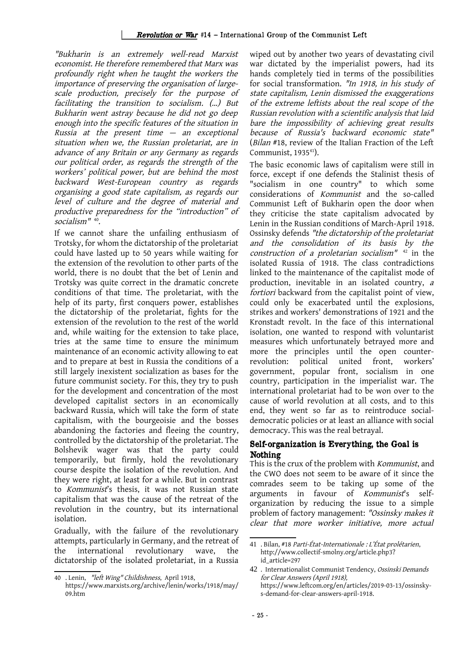"Bukharin is an extremely well-read Marxist economist. He therefore remembered that Marx was profoundly right when he taught the workers the importance of preserving the organisation of largescale production, precisely for the purpose of facilitating the transition to socialism. (…) But Bukharin went astray because he did not go deep enough into the specific features of the situation in Russia at the present time  $-$  an exceptional situation when we, the Russian proletariat, are in advance of any Britain or any Germany as regards our political order, as regards the strength of the workers' political power, but are behind the most backward West-European country as regards organising a good state capitalism, as regards our level of culture and the degree of material and productive preparedness for the "introduction" of socialism" [40](#page-26-0) .

If we cannot share the unfailing enthusiasm of Trotsky, for whom the dictatorship of the proletariat could have lasted up to 50 years while waiting for the extension of the revolution to other parts of the world, there is no doubt that the bet of Lenin and Trotsky was quite correct in the dramatic concrete conditions of that time. The proletariat, with the help of its party, first conquers power, establishes the dictatorship of the proletariat, fights for the extension of the revolution to the rest of the world and, while waiting for the extension to take place, tries at the same time to ensure the minimum maintenance of an economic activity allowing to eat and to prepare at best in Russia the conditions of a still largely inexistent socialization as bases for the future communist society. For this, they try to push for the development and concentration of the most developed capitalist sectors in an economically backward Russia, which will take the form of state capitalism, with the bourgeoisie and the bosses abandoning the factories and fleeing the country, controlled by the dictatorship of the proletariat. The Bolshevik wager was that the party could temporarily, but firmly, hold the revolutionary course despite the isolation of the revolution. And they were right, at least for a while. But in contrast to Kommunist's thesis, it was not Russian state capitalism that was the cause of the retreat of the revolution in the country, but its international isolation.

Gradually, with the failure of the revolutionary attempts, particularly in Germany, and the retreat of the international revolutionary wave, the dictatorship of the isolated proletariat, in a Russia

wiped out by another two years of devastating civil war dictated by the imperialist powers, had its hands completely tied in terms of the possibilities for social transformation. "In 1918, in his study of state capitalism, Lenin dismissed the exaggerations of the extreme leftists about the real scope of the Russian revolution with a scientific analysis that laid bare the impossibility of achieving great results because of Russia's backward economic state" (Bilan #18, review of the Italian Fraction of the Left Communist, 1935<sup>[41](#page-26-1)</sup>).

The basic economic laws of capitalism were still in force, except if one defends the Stalinist thesis of "socialism in one country" to which some considerations of Kommunist and the so-called Communist Left of Bukharin open the door when they criticise the state capitalism advocated by Lenin in the Russian conditions of March-April 1918. Ossinsky defends "the dictatorship of the proletariat and the consolidation of its basis by the construction of a proletarian socialism"  $42$  in the isolated Russia of 1918. The class contradictions linked to the maintenance of the capitalist mode of production, inevitable in an isolated country, <sup>a</sup> fortiori backward from the capitalist point of view, could only be exacerbated until the explosions, strikes and workers' demonstrations of 1921 and the Kronstadt revolt. In the face of this international isolation, one wanted to respond with voluntarist measures which unfortunately betrayed more and more the principles until the open counterrevolution: political united front, workers' government, popular front, socialism in one country, participation in the imperialist war. The international proletariat had to be won over to the cause of world revolution at all costs, and to this end, they went so far as to reintroduce socialdemocratic policies or at least an alliance with social democracy. This was the real betrayal.

## Self-organization is Everything, the Goal is Nothing

This is the crux of the problem with Kommunist, and the CWO does not seem to be aware of it since the comrades seem to be taking up some of the arguments in favour of Kommunist's selforganization by reducing the issue to a simple problem of factory management: "Ossinsky makes it clear that more worker initiative, more actual

<span id="page-26-0"></span><sup>40</sup> . Lenin, "left Wing" Childishness, April 1918,

https://www.marxists.org/archive/lenin/works/1918/may/ 09.htm

<span id="page-26-1"></span><sup>41</sup> . Bilan, #18 Parti-État-Internationale : L'État prolétarien, http://www.collectif-smolny.org/article.php3? id\_article=297

<span id="page-26-2"></span><sup>42 .</sup> Internationalist Communist Tendency, Ossinski Demands for Clear Answers (April 1918), https://www.leftcom.org/en/articles/2019-03-13/ossinskys-demand-for-clear-answers-april-1918.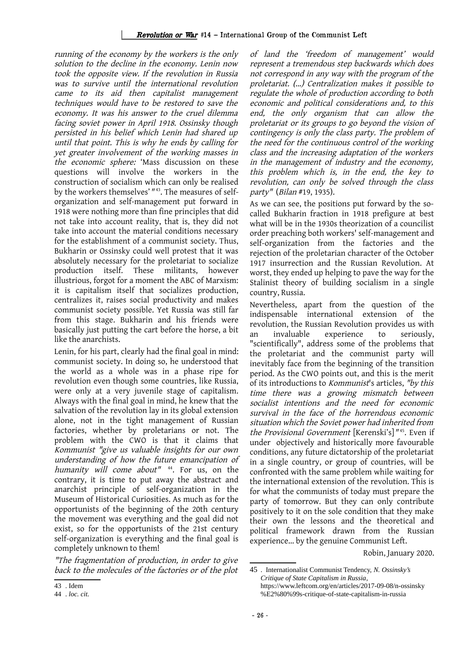running of the economy by the workers is the only solution to the decline in the economy. Lenin now took the opposite view. If the revolution in Russia was to survive until the international revolution came to its aid then capitalist management techniques would have to be restored to save the economy. It was his answer to the cruel dilemma facing soviet power in April 1918. Ossinsky though persisted in his belief which Lenin had shared up until that point. This is why he ends by calling for yet greater involvement of the working masses in the economic sphere: 'Mass discussion on these questions will involve the workers in the construction of socialism which can only be realised by the workers themselves'" [43](#page-27-0). The measures of selforganization and self-management put forward in 1918 were nothing more than fine principles that did not take into account reality, that is, they did not take into account the material conditions necessary for the establishment of a communist society. Thus, Bukharin or Ossinsky could well protest that it was absolutely necessary for the proletariat to socialize production itself. These militants, however illustrious, forgot for a moment the ABC of Marxism: it is capitalism itself that socializes production, centralizes it, raises social productivity and makes communist society possible. Yet Russia was still far from this stage. Bukharin and his friends were basically just putting the cart before the horse, a bit like the anarchists.

Lenin, for his part, clearly had the final goal in mind: communist society. In doing so, he understood that the world as a whole was in a phase ripe for revolution even though some countries, like Russia, were only at a very juvenile stage of capitalism. Always with the final goal in mind, he knew that the salvation of the revolution lay in its global extension alone, not in the tight management of Russian factories, whether by proletarians or not. The problem with the CWO is that it claims that Kommunist "give us valuable insights for our own understanding of how the future emancipation of humanitywill come about"<sup>44</sup>. For us, on the contrary, it is time to put away the abstract and anarchist principle of self-organization in the Museum of Historical Curiosities. As much as for the opportunists of the beginning of the 20th century the movement was everything and the goal did not exist, so for the opportunists of the 21st century self-organization is everything and the final goal is completely unknown to them!

"The fragmentation of production, in order to give back to the molecules of the factories or of the plot of land the 'freedom of management' would represent a tremendous step backwards which does not correspond in any way with the program of the proletariat. (...) Centralization makes it possible to regulate the whole of production according to both economic and political considerations and, to this end, the only organism that can allow the proletariat or its groups to go beyond the vision of contingency is only the class party. The problem of the need for the continuous control of the working class and the increasing adaptation of the workers in the management of industry and the economy, this problem which is, in the end, the key to revolution, can only be solved through the class party" (Bilan #19, 1935).

As we can see, the positions put forward by the socalled Bukharin fraction in 1918 prefigure at best what will be in the 1930s theorization of a councilist order preaching both workers' self-management and self-organization from the factories and the rejection of the proletarian character of the October 1917 insurrection and the Russian Revolution. At worst, they ended up helping to pave the way for the Stalinist theory of building socialism in a single country, Russia.

Nevertheless, apart from the question of the indispensable international extension of the revolution, the Russian Revolution provides us with an invaluable experience to seriously, "scientifically", address some of the problems that the proletariat and the communist party will inevitably face from the beginning of the transition period. As the CWO points out, and this is the merit of its introductions to Kommunist's articles, "by this time there was <sup>a</sup> growing mismatch between socialist intentions and the need for economic survival in the face of the horrendous economic situation which the Soviet power had inherited from the Provisional Government [Kerenski's]" [45](#page-27-2). Even if under objectively and historically more favourable conditions, any future dictatorship of the proletariat in a single country, or group of countries, will be confronted with the same problem while waiting for the international extension of the revolution. This is for what the communists of today must prepare the party of tomorrow. But they can only contribute positively to it on the sole condition that they make their own the lessons and the theoretical and political framework drawn from the Russian experience... by the genuine Communist Left.

Robin, January 2020.

<span id="page-27-0"></span><sup>43</sup> . Idem

<span id="page-27-1"></span><sup>44</sup> . *loc. cit.*

<span id="page-27-2"></span><sup>45</sup> . Internationalist Communist Tendency, *N. Ossinsky's Critique of State Capitalism in Russia*, https://www.leftcom.org/en/articles/2017-09-08/n-ossinsky %E2%80%99s-critique-of-state-capitalism-in-russia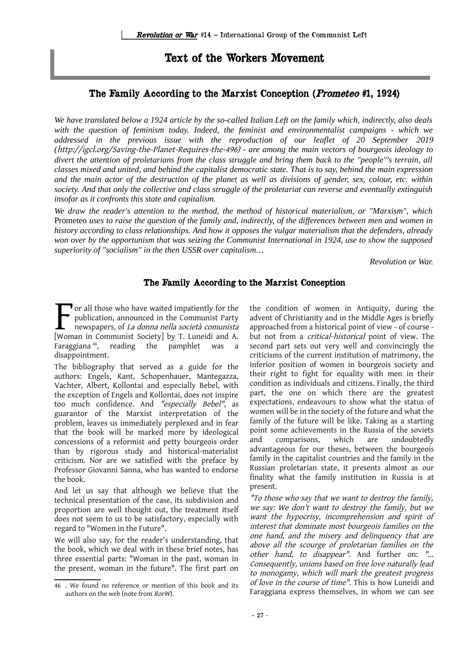# Text of the Workers Movement

# The Family According to the Marxist Conception (Prometeo #1, 1924)

*We have translated below a 1924 article by the so-called Italian Left on the family which, indirectly, also deals with the question of feminism today. Indeed, the feminist and environmentalist campaigns - which we addressed in the previous issue with the reproduction of our leaflet of 20 September 2019 (*http://igcl.org/Saving-the-Planet-Requires-the-496) *- are among the main vectors of bourgeois ideology to divert the attention of proletarians from the class struggle and bring them back to the "people"'s terrain, all classes mixed and united, and behind the capitalist democratic state. That is to say, behind the main expression and the main actor of the destruction of the planet as well as divisions of gender, sex, colour, etc. within society. And that only the collective and class struggle of the proletariat can reverse and eventually extinguish insofar as it confronts this state and capitalism.*

*We draw the reader's attention to the method, the method of historical materialism, or "Marxism", which* Prometeo *uses to raise the question of the family and, indirectly, of the differences between men and women in history according to class relationships. And how it opposes the vulgar materialism that the defenders, already won over by the opportunism that was seizing the Communist International in 1924, use to show the supposed superiority of "socialism" in the then USSR over capitalism…*

*Revolution or War.*

## The Family According to the Marxist Conception

 $\mathbf{\nabla}$  or all those who have waited impatiently for the publication, announced in the Communist Party newspapers, of La donna nella società comunista The publication, announced in the Communist Party<br>newspapers, of *La donna nella società comunista*<br>[Woman in Communist Society] by T. Luneidi and A. Faraggiana<sup>[46](#page-28-0)</sup>, reading the pamphlet was a disappointment.

The bibliography that served as a guide for the authors: Engels, Kant, Schopenhauer, Mantegazza, Vachter, Albert, Kollontai and especially Bebel, with the exception of Engels and Kollontai, does not inspire too much confidence. And "especially Bebel", as guarantor of the Marxist interpretation of the problem, leaves us immediately perplexed and in fear that the book will be marked more by ideological concessions of a reformist and petty bourgeois order than by rigorous study and historical-materialist criticism. Nor are we satisfied with the preface by Professor Giovanni Sanna, who has wanted to endorse the book.

And let us say that although we believe that the technical presentation of the case, its subdivision and proportion are well thought out, the treatment itself does not seem to us to be satisfactory, especially with regard to "Women in the Future".

We will also say, for the reader's understanding, that the book, which we deal with in these brief notes, has three essential parts: "Woman in the past, woman in the present, woman in the future". The first part on the condition of women in Antiquity, during the advent of Christianity and in the Middle Ages is briefly approached from a historical point of view - of course but not from a critical-historical point of view. The second part sets out very well and convincingly the criticisms of the current institution of matrimony, the inferior position of women in bourgeois society and their right to fight for equality with men in their condition as individuals and citizens. Finally, the third part, the one on which there are the greatest expectations, endeavours to show what the status of women will be in the society of the future and what the family of the future will be like. Taking as a starting point some achievements in the Russia of the soviets and comparisons, which are undoubtedly advantageous for our theses, between the bourgeois family in the capitalist countries and the family in the Russian proletarian state, it presents almost as our finality what the family institution in Russia is at present.

"To those who say that we want to destroy the family, we say: We don't want to destroy the family, but we want the hypocrisy, incomprehension and spirit of interest that dominate most bourgeois families on the one hand, and the misery and delinquency that are above all the scourge of proletarian families on the other hand, to disappear". And further on: "... Consequently, unions based on free love naturally lead to monogamy, which will mark the greatest progress of love in the course of time". This is how Luneidi and Faraggiana express themselves, in whom we can see

<span id="page-28-0"></span><sup>46</sup> . We found no reference or mention of this book and its authors on the web (note from RorW).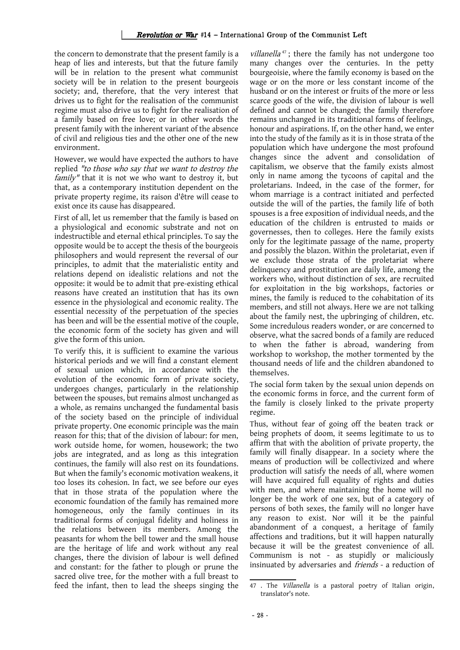the concern to demonstrate that the present family is a heap of lies and interests, but that the future family will be in relation to the present what communist society will be in relation to the present bourgeois society; and, therefore, that the very interest that drives us to fight for the realisation of the communist regime must also drive us to fight for the realisation of a family based on free love; or in other words the present family with the inherent variant of the absence of civil and religious ties and the other one of the new environment.

However, we would have expected the authors to have replied "to those who say that we want to destroy the family" that it is not we who want to destroy it, but that, as a contemporary institution dependent on the private property regime, its raison d'être will cease to exist once its cause has disappeared.

First of all, let us remember that the family is based on a physiological and economic substrate and not on indestructible and eternal ethical principles. To say the opposite would be to accept the thesis of the bourgeois philosophers and would represent the reversal of our principles, to admit that the materialistic entity and relations depend on idealistic relations and not the opposite: it would be to admit that pre-existing ethical reasons have created an institution that has its own essence in the physiological and economic reality. The essential necessity of the perpetuation of the species has been and will be the essential motive of the couple, the economic form of the society has given and will give the form of this union.

To verify this, it is sufficient to examine the various historical periods and we will find a constant element of sexual union which, in accordance with the evolution of the economic form of private society, undergoes changes, particularly in the relationship between the spouses, but remains almost unchanged as a whole, as remains unchanged the fundamental basis of the society based on the principle of individual private property. One economic principle was the main reason for this; that of the division of labour: for men, work outside home, for women, housework; the two jobs are integrated, and as long as this integration continues, the family will also rest on its foundations. But when the family's economic motivation weakens, it too loses its cohesion. In fact, we see before our eyes that in those strata of the population where the economic foundation of the family has remained more homogeneous, only the family continues in its traditional forms of conjugal fidelity and holiness in the relations between its members. Among the peasants for whom the bell tower and the small house are the heritage of life and work without any real changes, there the division of labour is well defined and constant: for the father to plough or prune the sacred olive tree, for the mother with a full breast to feed the infant, then to lead the sheeps singing the

villanella<sup>[47](#page-29-0)</sup>; there the family has not undergone too many changes over the centuries. In the petty bourgeoisie, where the family economy is based on the wage or on the more or less constant income of the husband or on the interest or fruits of the more or less scarce goods of the wife, the division of labour is well defined and cannot be changed; the family therefore remains unchanged in its traditional forms of feelings, honour and aspirations. If, on the other hand, we enter into the study of the family as it is in those strata of the population which have undergone the most profound changes since the advent and consolidation of capitalism, we observe that the family exists almost only in name among the tycoons of capital and the proletarians. Indeed, in the case of the former, for whom marriage is a contract initiated and perfected outside the will of the parties, the family life of both spouses is a free exposition of individual needs, and the education of the children is entrusted to maids or governesses, then to colleges. Here the family exists only for the legitimate passage of the name, property and possibly the blazon. Within the proletariat, even if we exclude those strata of the proletariat where delinquency and prostitution are daily life, among the workers who, without distinction of sex, are recruited for exploitation in the big workshops, factories or mines, the family is reduced to the cohabitation of its members, and still not always. Here we are not talking about the family nest, the upbringing of children, etc. Some incredulous readers wonder, or are concerned to observe, what the sacred bonds of a family are reduced to when the father is abroad, wandering from workshop to workshop, the mother tormented by the thousand needs of life and the children abandoned to themselves.

The social form taken by the sexual union depends on the economic forms in force, and the current form of the family is closely linked to the private property regime.

Thus, without fear of going off the beaten track or being prophets of doom, it seems legitimate to us to affirm that with the abolition of private property, the family will finally disappear. In a society where the means of production will be collectivized and where production will satisfy the needs of all, where women will have acquired full equality of rights and duties with men, and where maintaining the home will no longer be the work of one sex, but of a category of persons of both sexes, the family will no longer have any reason to exist. Nor will it be the painful abandonment of a conquest, a heritage of family affections and traditions, but it will happen naturally because it will be the greatest convenience of all. Communism is not - as stupidly or maliciously insinuated by adversaries and friends - a reduction of

<span id="page-29-0"></span><sup>47 .</sup> The Villanella is a pastoral poetry of Italian origin, translator's note.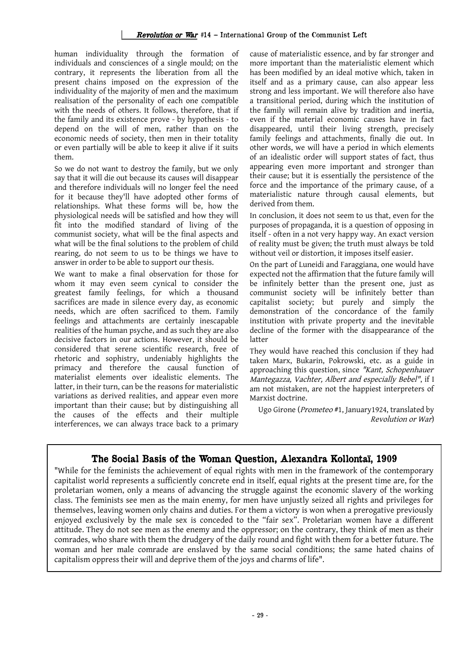human individuality through the formation of individuals and consciences of a single mould; on the contrary, it represents the liberation from all the present chains imposed on the expression of the individuality of the majority of men and the maximum realisation of the personality of each one compatible with the needs of others. It follows, therefore, that if the family and its existence prove - by hypothesis - to depend on the will of men, rather than on the economic needs of society, then men in their totality or even partially will be able to keep it alive if it suits them.

So we do not want to destroy the family, but we only say that it will die out because its causes will disappear and therefore individuals will no longer feel the need for it because they'll have adopted other forms of relationships. What these forms will be, how the physiological needs will be satisfied and how they will fit into the modified standard of living of the communist society, what will be the final aspects and what will be the final solutions to the problem of child rearing, do not seem to us to be things we have to answer in order to be able to support our thesis.

We want to make a final observation for those for whom it may even seem cynical to consider the greatest family feelings, for which a thousand sacrifices are made in silence every day, as economic needs, which are often sacrificed to them. Family feelings and attachments are certainly inescapable realities of the human psyche, and as such they are also decisive factors in our actions. However, it should be considered that serene scientific research, free of rhetoric and sophistry, undeniably highlights the primacy and therefore the causal function of materialist elements over idealistic elements. The latter, in their turn, can be the reasons for materialistic variations as derived realities, and appear even more important than their cause; but by distinguishing all the causes of the effects and their multiple interferences, we can always trace back to a primary cause of materialistic essence, and by far stronger and more important than the materialistic element which has been modified by an ideal motive which, taken in itself and as a primary cause, can also appear less strong and less important. We will therefore also have a transitional period, during which the institution of the family will remain alive by tradition and inertia, even if the material economic causes have in fact disappeared, until their living strength, precisely family feelings and attachments, finally die out. In other words, we will have a period in which elements of an idealistic order will support states of fact, thus appearing even more important and stronger than their cause; but it is essentially the persistence of the force and the importance of the primary cause, of a materialistic nature through causal elements, but derived from them.

In conclusion, it does not seem to us that, even for the purposes of propaganda, it is a question of opposing in itself - often in a not very happy way. An exact version of reality must be given; the truth must always be told without veil or distortion, it imposes itself easier.

On the part of Luneidi and Faraggiana, one would have expected not the affirmation that the future family will be infinitely better than the present one, just as communist society will be infinitely better than capitalist society; but purely and simply the demonstration of the concordance of the family institution with private property and the inevitable decline of the former with the disappearance of the latter

They would have reached this conclusion if they had taken Marx, Bukarin, Pokrowski, etc. as a guide in approaching this question, since "Kant, Schopenhauer Mantegazza, Vachter, Albert and especially Bebel", if I am not mistaken, are not the happiest interpreters of Marxist doctrine.

Ugo Girone (Prometeo #1, January1924, translated by Revolution or War)

## The Social Basis of the Woman Question, Alexandra Kollontaï, 1909

"While for the feminists the achievement of equal rights with men in the framework of the contemporary capitalist world represents a sufficiently concrete end in itself, equal rights at the present time are, for the proletarian women, only a means of advancing the struggle against the economic slavery of the working class. The feminists see men as the main enemy, for men have unjustly seized all rights and privileges for themselves, leaving women only chains and duties. For them a victory is won when a prerogative previously enjoyed exclusively by the male sex is conceded to the "fair sex". Proletarian women have a different attitude. They do not see men as the enemy and the oppressor; on the contrary, they think of men as their comrades, who share with them the drudgery of the daily round and fight with them for a better future. The woman and her male comrade are enslaved by the same social conditions; the same hated chains of capitalism oppress their will and deprive them of the joys and charms of life".